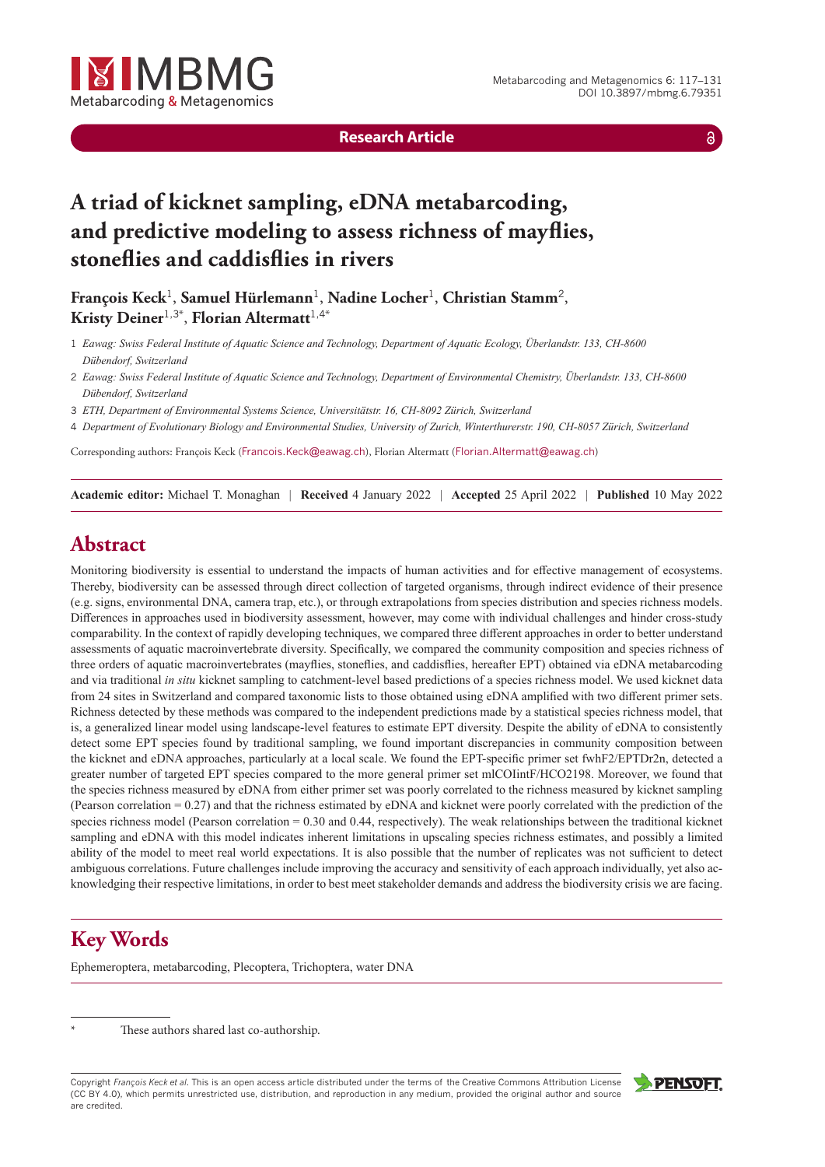

**Research Article**

 $\delta$ 

# **A triad of kicknet sampling, eDNA metabarcoding, and predictive modeling to assess richness of mayflies, stoneflies and caddisflies in rivers**

**François Keck**<sup>1</sup>, **Samuel Hürlemann**<sup>1</sup>, **Nadine Locher**<sup>1</sup>, **Christian Stamm**<sup>2</sup>, **Kristy Deiner**1,3\* , **Florian Altermatt**1,4\*

- 1 *Eawag: Swiss Federal Institute of Aquatic Science and Technology, Department of Aquatic Ecology, Überlandstr. 133, CH-8600 Dübendorf, Switzerland*
- 2 *Eawag: Swiss Federal Institute of Aquatic Science and Technology, Department of Environmental Chemistry, Überlandstr. 133, CH-8600 Dübendorf, Switzerland*
- 3 *ETH, Department of Environmental Systems Science, Universitätstr. 16, CH-8092 Zürich, Switzerland*
- 4 *Department of Evolutionary Biology and Environmental Studies, University of Zurich, Winterthurerstr. 190, CH-8057 Zürich, Switzerland*

Corresponding authors: François Keck ([Francois.Keck@eawag.ch](mailto:Francois.Keck@eawag.ch)), Florian Altermatt ([Florian.Altermatt@eawag.ch](mailto:Florian.Altermatt@eawag.ch))

**Academic editor:** Michael T. Monaghan *|* **Received** 4 January 2022 *|* **Accepted** 25 April 2022 *|* **Published** 10 May 2022

# **Abstract**

Monitoring biodiversity is essential to understand the impacts of human activities and for effective management of ecosystems. Thereby, biodiversity can be assessed through direct collection of targeted organisms, through indirect evidence of their presence (e.g. signs, environmental DNA, camera trap, etc.), or through extrapolations from species distribution and species richness models. Differences in approaches used in biodiversity assessment, however, may come with individual challenges and hinder cross-study comparability. In the context of rapidly developing techniques, we compared three different approaches in order to better understand assessments of aquatic macroinvertebrate diversity. Specifically, we compared the community composition and species richness of three orders of aquatic macroinvertebrates (mayflies, stoneflies, and caddisflies, hereafter EPT) obtained via eDNA metabarcoding and via traditional *in situ* kicknet sampling to catchment-level based predictions of a species richness model. We used kicknet data from 24 sites in Switzerland and compared taxonomic lists to those obtained using eDNA amplified with two different primer sets. Richness detected by these methods was compared to the independent predictions made by a statistical species richness model, that is, a generalized linear model using landscape-level features to estimate EPT diversity. Despite the ability of eDNA to consistently detect some EPT species found by traditional sampling, we found important discrepancies in community composition between the kicknet and eDNA approaches, particularly at a local scale. We found the EPT-specific primer set fwhF2/EPTDr2n, detected a greater number of targeted EPT species compared to the more general primer set mlCOIintF/HCO2198. Moreover, we found that the species richness measured by eDNA from either primer set was poorly correlated to the richness measured by kicknet sampling (Pearson correlation = 0.27) and that the richness estimated by eDNA and kicknet were poorly correlated with the prediction of the species richness model (Pearson correlation = 0.30 and 0.44, respectively). The weak relationships between the traditional kicknet sampling and eDNA with this model indicates inherent limitations in upscaling species richness estimates, and possibly a limited ability of the model to meet real world expectations. It is also possible that the number of replicates was not sufficient to detect ambiguous correlations. Future challenges include improving the accuracy and sensitivity of each approach individually, yet also acknowledging their respective limitations, in order to best meet stakeholder demands and address the biodiversity crisis we are facing.

# **Key Words**

Ephemeroptera, metabarcoding, Plecoptera, Trichoptera, water DNA

These authors shared last co-authorship.

Copyright *François Keck et al.* This is an open access article distributed under the terms of the [Creative Commons Attribution License](http://creativecommons.org/licenses/by/4.0/) [\(CC BY 4.0\),](http://creativecommons.org/licenses/by/4.0/) which permits unrestricted use, distribution, and reproduction in any medium, provided the original author and source are credited.

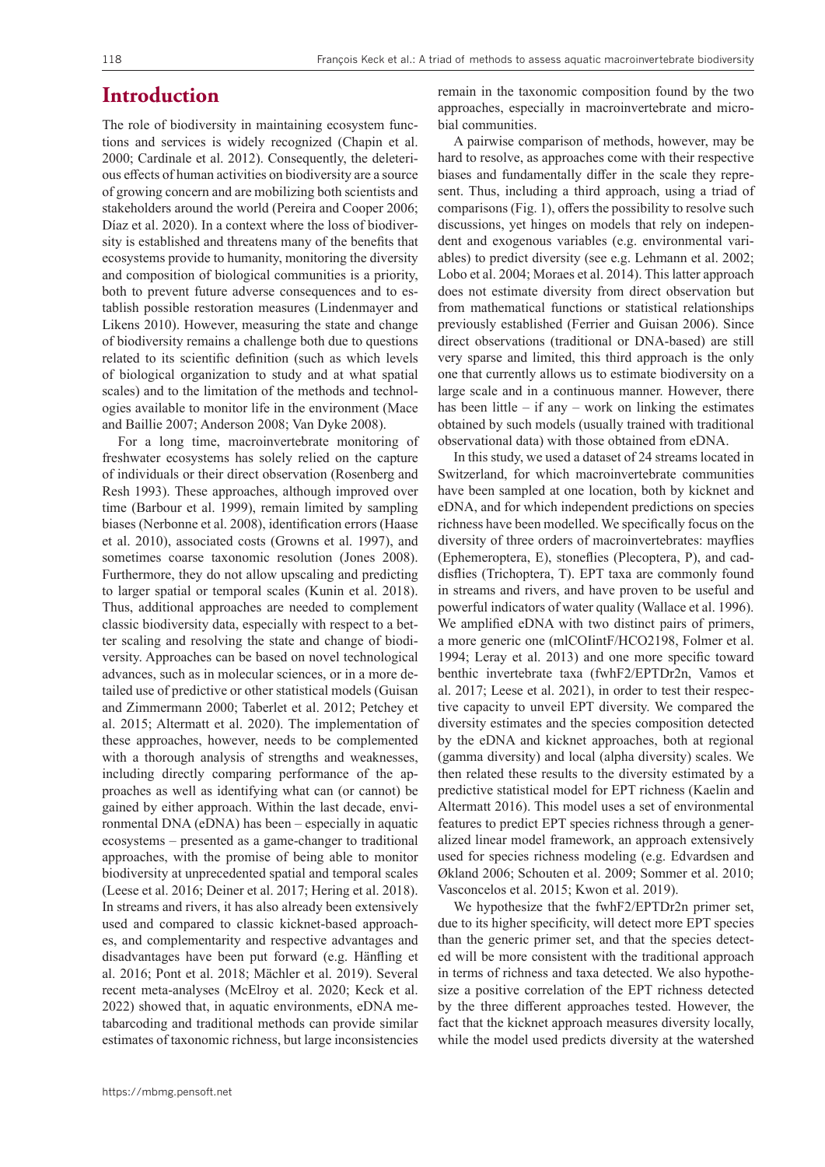### **Introduction**

The role of biodiversity in maintaining ecosystem functions and services is widely recognized (Chapin et al. 2000; Cardinale et al. 2012). Consequently, the deleterious effects of human activities on biodiversity are a source of growing concern and are mobilizing both scientists and stakeholders around the world (Pereira and Cooper 2006; Díaz et al. 2020). In a context where the loss of biodiversity is established and threatens many of the benefits that ecosystems provide to humanity, monitoring the diversity and composition of biological communities is a priority, both to prevent future adverse consequences and to establish possible restoration measures (Lindenmayer and Likens 2010). However, measuring the state and change of biodiversity remains a challenge both due to questions related to its scientific definition (such as which levels of biological organization to study and at what spatial scales) and to the limitation of the methods and technologies available to monitor life in the environment (Mace and Baillie 2007; Anderson 2008; Van Dyke 2008).

For a long time, macroinvertebrate monitoring of freshwater ecosystems has solely relied on the capture of individuals or their direct observation (Rosenberg and Resh 1993). These approaches, although improved over time (Barbour et al. 1999), remain limited by sampling biases (Nerbonne et al. 2008), identification errors (Haase et al. 2010), associated costs (Growns et al. 1997), and sometimes coarse taxonomic resolution (Jones 2008). Furthermore, they do not allow upscaling and predicting to larger spatial or temporal scales (Kunin et al. 2018). Thus, additional approaches are needed to complement classic biodiversity data, especially with respect to a better scaling and resolving the state and change of biodiversity. Approaches can be based on novel technological advances, such as in molecular sciences, or in a more detailed use of predictive or other statistical models (Guisan and Zimmermann 2000; Taberlet et al. 2012; Petchey et al. 2015; Altermatt et al. 2020). The implementation of these approaches, however, needs to be complemented with a thorough analysis of strengths and weaknesses, including directly comparing performance of the approaches as well as identifying what can (or cannot) be gained by either approach. Within the last decade, environmental DNA (eDNA) has been – especially in aquatic ecosystems – presented as a game-changer to traditional approaches, with the promise of being able to monitor biodiversity at unprecedented spatial and temporal scales (Leese et al. 2016; Deiner et al. 2017; Hering et al. 2018). In streams and rivers, it has also already been extensively used and compared to classic kicknet-based approaches, and complementarity and respective advantages and disadvantages have been put forward (e.g. Hänfling et al. 2016; Pont et al. 2018; Mächler et al. 2019). Several recent meta-analyses (McElroy et al. 2020; Keck et al. 2022) showed that, in aquatic environments, eDNA metabarcoding and traditional methods can provide similar estimates of taxonomic richness, but large inconsistencies

remain in the taxonomic composition found by the two approaches, especially in macroinvertebrate and microbial communities.

A pairwise comparison of methods, however, may be hard to resolve, as approaches come with their respective biases and fundamentally differ in the scale they represent. Thus, including a third approach, using a triad of comparisons (Fig. 1), offers the possibility to resolve such discussions, yet hinges on models that rely on independent and exogenous variables (e.g. environmental variables) to predict diversity (see e.g. Lehmann et al. 2002; Lobo et al. 2004; Moraes et al. 2014). This latter approach does not estimate diversity from direct observation but from mathematical functions or statistical relationships previously established (Ferrier and Guisan 2006). Since direct observations (traditional or DNA-based) are still very sparse and limited, this third approach is the only one that currently allows us to estimate biodiversity on a large scale and in a continuous manner. However, there has been little – if any – work on linking the estimates obtained by such models (usually trained with traditional observational data) with those obtained from eDNA.

In this study, we used a dataset of 24 streams located in Switzerland, for which macroinvertebrate communities have been sampled at one location, both by kicknet and eDNA, and for which independent predictions on species richness have been modelled. We specifically focus on the diversity of three orders of macroinvertebrates: mayflies (Ephemeroptera, E), stoneflies (Plecoptera, P), and caddisflies (Trichoptera, T). EPT taxa are commonly found in streams and rivers, and have proven to be useful and powerful indicators of water quality (Wallace et al. 1996). We amplified eDNA with two distinct pairs of primers, a more generic one (mlCOIintF/HCO2198, Folmer et al. 1994; Leray et al. 2013) and one more specific toward benthic invertebrate taxa (fwhF2/EPTDr2n, Vamos et al. 2017; Leese et al. 2021), in order to test their respective capacity to unveil EPT diversity. We compared the diversity estimates and the species composition detected by the eDNA and kicknet approaches, both at regional (gamma diversity) and local (alpha diversity) scales. We then related these results to the diversity estimated by a predictive statistical model for EPT richness (Kaelin and Altermatt 2016). This model uses a set of environmental features to predict EPT species richness through a generalized linear model framework, an approach extensively used for species richness modeling (e.g. Edvardsen and Økland 2006; Schouten et al. 2009; Sommer et al. 2010; Vasconcelos et al. 2015; Kwon et al. 2019).

We hypothesize that the fwhF2/EPTDr2n primer set, due to its higher specificity, will detect more EPT species than the generic primer set, and that the species detected will be more consistent with the traditional approach in terms of richness and taxa detected. We also hypothesize a positive correlation of the EPT richness detected by the three different approaches tested. However, the fact that the kicknet approach measures diversity locally, while the model used predicts diversity at the watershed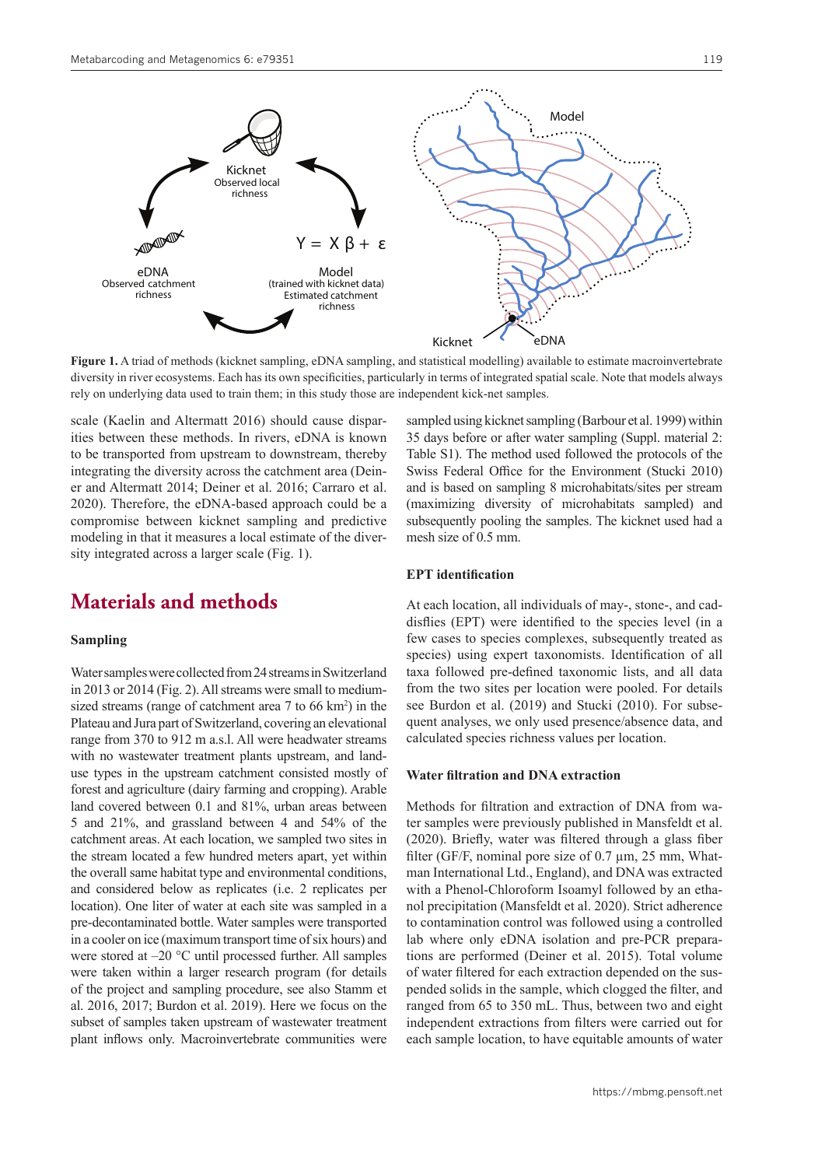

**Figure 1.** A triad of methods (kicknet sampling, eDNA sampling, and statistical modelling) available to estimate macroinvertebrate diversity in river ecosystems. Each has its own specificities, particularly in terms of integrated spatial scale. Note that models always rely on underlying data used to train them; in this study those are independent kick-net samples.

scale (Kaelin and Altermatt 2016) should cause disparities between these methods. In rivers, eDNA is known to be transported from upstream to downstream, thereby integrating the diversity across the catchment area (Deiner and Altermatt 2014; Deiner et al. 2016; Carraro et al. 2020). Therefore, the eDNA-based approach could be a compromise between kicknet sampling and predictive modeling in that it measures a local estimate of the diversity integrated across a larger scale (Fig. 1).

# **Materials and methods**

#### **Sampling**

Water samples were collected from 24 streams in Switzerland in 2013 or 2014 (Fig. 2). All streams were small to mediumsized streams (range of catchment area  $7$  to  $66 \text{ km}^2$ ) in the Plateau and Jura part of Switzerland, covering an elevational range from 370 to 912 m a.s.l. All were headwater streams with no wastewater treatment plants upstream, and landuse types in the upstream catchment consisted mostly of forest and agriculture (dairy farming and cropping). Arable land covered between 0.1 and 81%, urban areas between 5 and 21%, and grassland between 4 and 54% of the catchment areas. At each location, we sampled two sites in the stream located a few hundred meters apart, yet within the overall same habitat type and environmental conditions, and considered below as replicates (i.e. 2 replicates per location). One liter of water at each site was sampled in a pre-decontaminated bottle. Water samples were transported in a cooler on ice (maximum transport time of six hours) and were stored at –20 °C until processed further. All samples were taken within a larger research program (for details of the project and sampling procedure, see also Stamm et al. 2016, 2017; Burdon et al. 2019). Here we focus on the subset of samples taken upstream of wastewater treatment plant inflows only. Macroinvertebrate communities were

sampled using kicknet sampling (Barbour et al. 1999) within 35 days before or after water sampling (Suppl. material 2: Table S1). The method used followed the protocols of the Swiss Federal Office for the Environment (Stucki 2010) and is based on sampling 8 microhabitats/sites per stream (maximizing diversity of microhabitats sampled) and subsequently pooling the samples. The kicknet used had a mesh size of 0.5 mm.

#### **EPT identification**

At each location, all individuals of may-, stone-, and caddisflies (EPT) were identified to the species level (in a few cases to species complexes, subsequently treated as species) using expert taxonomists. Identification of all taxa followed pre-defined taxonomic lists, and all data from the two sites per location were pooled. For details see Burdon et al. (2019) and Stucki (2010). For subsequent analyses, we only used presence/absence data, and calculated species richness values per location.

#### **Water filtration and DNA extraction**

Methods for filtration and extraction of DNA from water samples were previously published in Mansfeldt et al. (2020). Briefly, water was filtered through a glass fiber filter (GF/F, nominal pore size of 0.7 µm, 25 mm, Whatman International Ltd., England), and DNA was extracted with a Phenol-Chloroform Isoamyl followed by an ethanol precipitation (Mansfeldt et al. 2020). Strict adherence to contamination control was followed using a controlled lab where only eDNA isolation and pre-PCR preparations are performed (Deiner et al. 2015). Total volume of water filtered for each extraction depended on the suspended solids in the sample, which clogged the filter, and ranged from 65 to 350 mL. Thus, between two and eight independent extractions from filters were carried out for each sample location, to have equitable amounts of water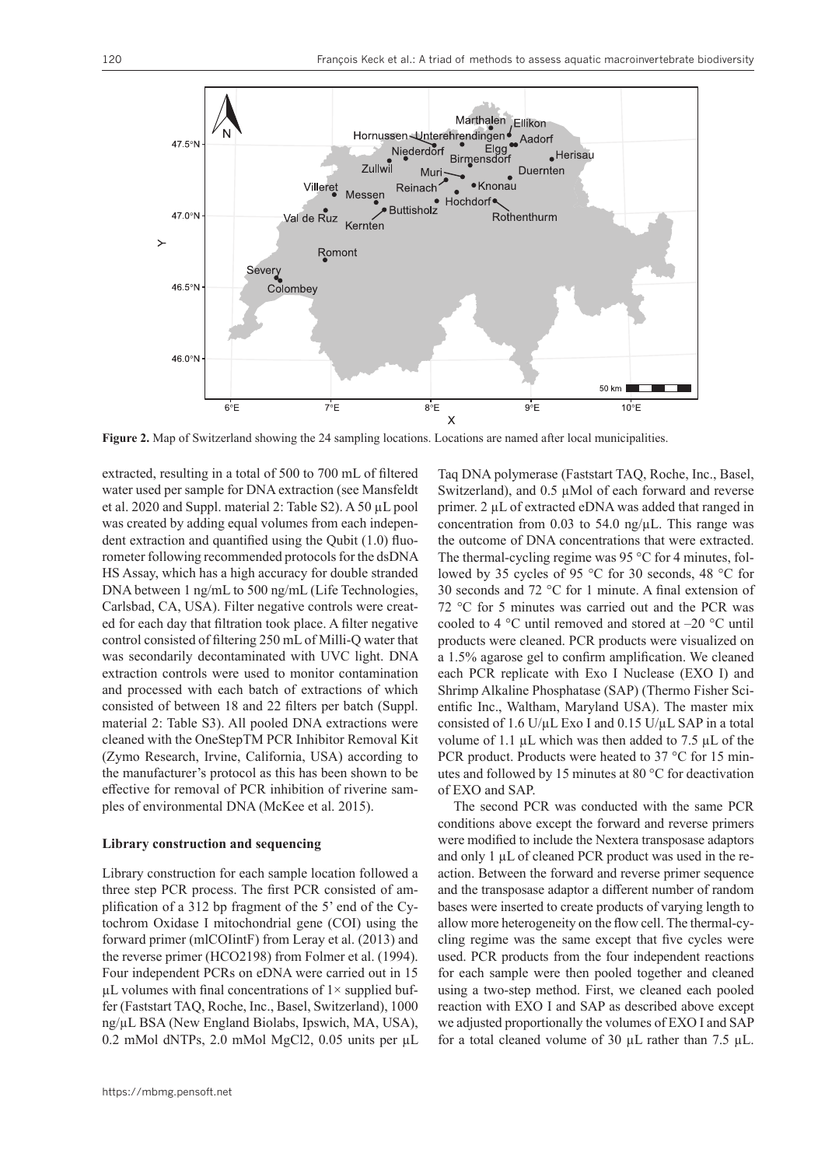

**Figure 2.** Map of Switzerland showing the 24 sampling locations. Locations are named after local municipalities.

extracted, resulting in a total of 500 to 700 mL of filtered water used per sample for DNA extraction (see Mansfeldt et al. 2020 and Suppl. material 2: Table S2). A 50 µL pool was created by adding equal volumes from each independent extraction and quantified using the Qubit (1.0) fluorometer following recommended protocols for the dsDNA HS Assay, which has a high accuracy for double stranded DNA between 1 ng/mL to 500 ng/mL (Life Technologies, Carlsbad, CA, USA). Filter negative controls were created for each day that filtration took place. A filter negative control consisted of filtering 250 mL of Milli-Q water that was secondarily decontaminated with UVC light. DNA extraction controls were used to monitor contamination and processed with each batch of extractions of which consisted of between 18 and 22 filters per batch (Suppl. material 2: Table S3). All pooled DNA extractions were cleaned with the OneStepTM PCR Inhibitor Removal Kit (Zymo Research, Irvine, California, USA) according to the manufacturer's protocol as this has been shown to be effective for removal of PCR inhibition of riverine samples of environmental DNA (McKee et al. 2015).

#### **Library construction and sequencing**

Library construction for each sample location followed a three step PCR process. The first PCR consisted of amplification of a 312 bp fragment of the 5' end of the Cytochrom Oxidase I mitochondrial gene (COI) using the forward primer (mlCOIintF) from Leray et al. (2013) and the reverse primer (HCO2198) from Folmer et al. (1994). Four independent PCRs on eDNA were carried out in 15  $\mu$ L volumes with final concentrations of  $1\times$  supplied buffer (Faststart TAQ, Roche, Inc., Basel, Switzerland), 1000 ng/µL BSA (New England Biolabs, Ipswich, MA, USA), 0.2 mMol dNTPs, 2.0 mMol MgCl2, 0.05 units per µL Taq DNA polymerase (Faststart TAQ, Roche, Inc., Basel, Switzerland), and 0.5 µMol of each forward and reverse primer. 2 µL of extracted eDNA was added that ranged in concentration from 0.03 to 54.0 ng/ $\mu$ L. This range was the outcome of DNA concentrations that were extracted. The thermal-cycling regime was 95 °C for 4 minutes, followed by 35 cycles of 95 °C for 30 seconds, 48 °C for 30 seconds and 72 °C for 1 minute. A final extension of 72 °C for 5 minutes was carried out and the PCR was cooled to 4 °C until removed and stored at –20 °C until products were cleaned. PCR products were visualized on a 1.5% agarose gel to confirm amplification. We cleaned each PCR replicate with Exo I Nuclease (EXO I) and Shrimp Alkaline Phosphatase (SAP) (Thermo Fisher Scientific Inc., Waltham, Maryland USA). The master mix consisted of 1.6 U/µL Exo I and 0.15 U/µL SAP in a total volume of 1.1  $\mu$ L which was then added to 7.5  $\mu$ L of the PCR product. Products were heated to 37 °C for 15 minutes and followed by 15 minutes at 80 °C for deactivation of EXO and SAP.

The second PCR was conducted with the same PCR conditions above except the forward and reverse primers were modified to include the Nextera transposase adaptors and only 1 µL of cleaned PCR product was used in the reaction. Between the forward and reverse primer sequence and the transposase adaptor a different number of random bases were inserted to create products of varying length to allow more heterogeneity on the flow cell. The thermal-cycling regime was the same except that five cycles were used. PCR products from the four independent reactions for each sample were then pooled together and cleaned using a two-step method. First, we cleaned each pooled reaction with EXO I and SAP as described above except we adjusted proportionally the volumes of EXO I and SAP for a total cleaned volume of 30 µL rather than 7.5 µL.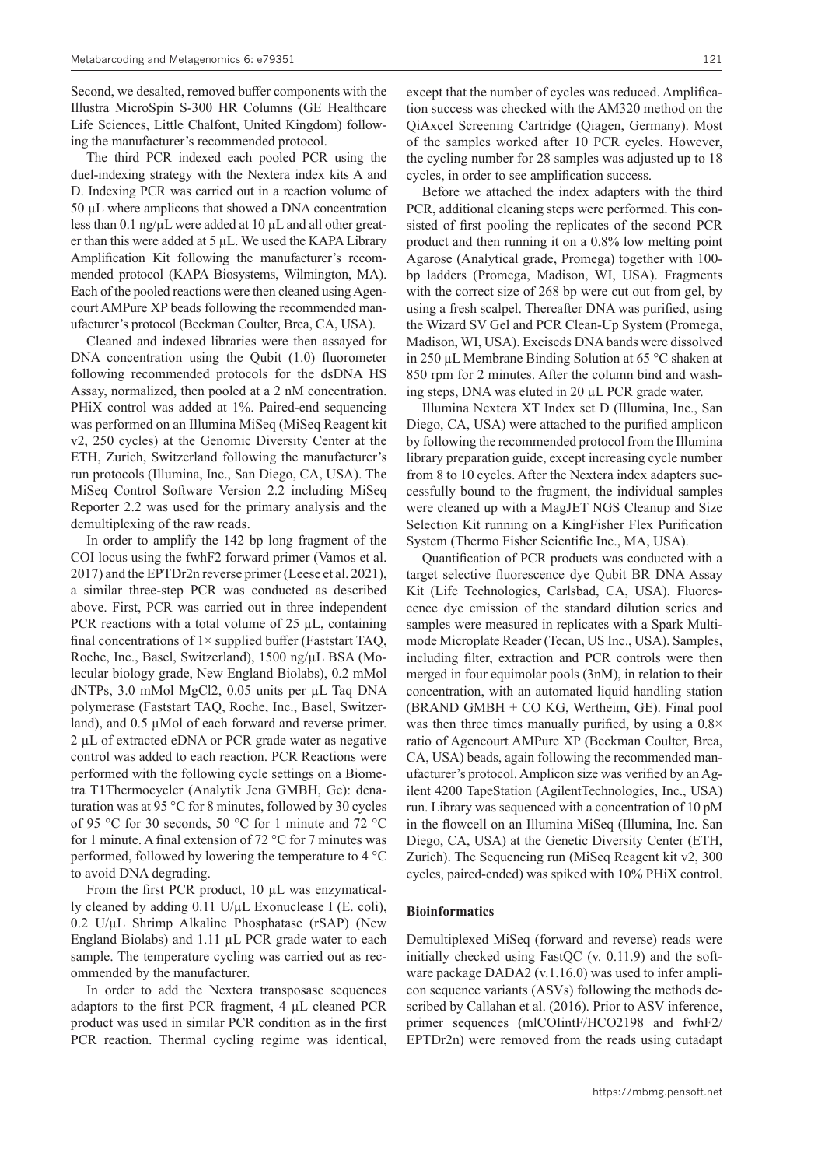Second, we desalted, removed buffer components with the Illustra MicroSpin S-300 HR Columns (GE Healthcare Life Sciences, Little Chalfont, United Kingdom) following the manufacturer's recommended protocol.

The third PCR indexed each pooled PCR using the duel-indexing strategy with the Nextera index kits A and D. Indexing PCR was carried out in a reaction volume of 50 µL where amplicons that showed a DNA concentration less than  $0.1$  ng/ $\mu$ L were added at  $10 \mu$ L and all other greater than this were added at  $5 \mu L$ . We used the KAPA Library Amplification Kit following the manufacturer's recommended protocol (KAPA Biosystems, Wilmington, MA). Each of the pooled reactions were then cleaned using Agencourt AMPure XP beads following the recommended manufacturer's protocol (Beckman Coulter, Brea, CA, USA).

Cleaned and indexed libraries were then assayed for DNA concentration using the Qubit (1.0) fluorometer following recommended protocols for the dsDNA HS Assay, normalized, then pooled at a 2 nM concentration. PHiX control was added at 1%. Paired-end sequencing was performed on an Illumina MiSeq (MiSeq Reagent kit v2, 250 cycles) at the Genomic Diversity Center at the ETH, Zurich, Switzerland following the manufacturer's run protocols (Illumina, Inc., San Diego, CA, USA). The MiSeq Control Software Version 2.2 including MiSeq Reporter 2.2 was used for the primary analysis and the demultiplexing of the raw reads.

In order to amplify the 142 bp long fragment of the COI locus using the fwhF2 forward primer (Vamos et al. 2017) and the EPTDr2n reverse primer (Leese et al. 2021), a similar three-step PCR was conducted as described above. First, PCR was carried out in three independent PCR reactions with a total volume of  $25 \mu L$ , containing final concentrations of  $1 \times$  supplied buffer (Faststart TAQ, Roche, Inc., Basel, Switzerland), 1500 ng/µL BSA (Molecular biology grade, New England Biolabs), 0.2 mMol dNTPs, 3.0 mMol MgCl2, 0.05 units per µL Taq DNA polymerase (Faststart TAQ, Roche, Inc., Basel, Switzerland), and 0.5 µMol of each forward and reverse primer. 2 µL of extracted eDNA or PCR grade water as negative control was added to each reaction. PCR Reactions were performed with the following cycle settings on a Biometra T1Thermocycler (Analytik Jena GMBH, Ge): denaturation was at 95 °C for 8 minutes, followed by 30 cycles of 95 °C for 30 seconds, 50 °C for 1 minute and 72 °C for 1 minute. A final extension of 72 °C for 7 minutes was performed, followed by lowering the temperature to 4 °C to avoid DNA degrading.

From the first PCR product, 10 µL was enzymatically cleaned by adding 0.11 U/µL Exonuclease I (E. coli),  $0.2$  U/ $\mu$ L Shrimp Alkaline Phosphatase (rSAP) (New England Biolabs) and 1.11 µL PCR grade water to each sample. The temperature cycling was carried out as recommended by the manufacturer.

In order to add the Nextera transposase sequences adaptors to the first PCR fragment, 4 µL cleaned PCR product was used in similar PCR condition as in the first PCR reaction. Thermal cycling regime was identical,

except that the number of cycles was reduced. Amplification success was checked with the AM320 method on the QiAxcel Screening Cartridge (Qiagen, Germany). Most of the samples worked after 10 PCR cycles. However, the cycling number for 28 samples was adjusted up to 18 cycles, in order to see amplification success.

Before we attached the index adapters with the third PCR, additional cleaning steps were performed. This consisted of first pooling the replicates of the second PCR product and then running it on a 0.8% low melting point Agarose (Analytical grade, Promega) together with 100 bp ladders (Promega, Madison, WI, USA). Fragments with the correct size of 268 bp were cut out from gel, by using a fresh scalpel. Thereafter DNA was purified, using the Wizard SV Gel and PCR Clean-Up System (Promega, Madison, WI, USA). Exciseds DNA bands were dissolved in 250 µL Membrane Binding Solution at 65 °C shaken at 850 rpm for 2 minutes. After the column bind and washing steps, DNA was eluted in 20 µL PCR grade water.

Illumina Nextera XT Index set D (Illumina, Inc., San Diego, CA, USA) were attached to the purified amplicon by following the recommended protocol from the Illumina library preparation guide, except increasing cycle number from 8 to 10 cycles. After the Nextera index adapters successfully bound to the fragment, the individual samples were cleaned up with a MagJET NGS Cleanup and Size Selection Kit running on a KingFisher Flex Purification System (Thermo Fisher Scientific Inc., MA, USA).

Quantification of PCR products was conducted with a target selective fluorescence dye Qubit BR DNA Assay Kit (Life Technologies, Carlsbad, CA, USA). Fluorescence dye emission of the standard dilution series and samples were measured in replicates with a Spark Multimode Microplate Reader (Tecan, US Inc., USA). Samples, including filter, extraction and PCR controls were then merged in four equimolar pools (3nM), in relation to their concentration, with an automated liquid handling station (BRAND GMBH + CO KG, Wertheim, GE). Final pool was then three times manually purified, by using a  $0.8\times$ ratio of Agencourt AMPure XP (Beckman Coulter, Brea, CA, USA) beads, again following the recommended manufacturer's protocol. Amplicon size was verified by an Agilent 4200 TapeStation (AgilentTechnologies, Inc., USA) run. Library was sequenced with a concentration of 10 pM in the flowcell on an Illumina MiSeq (Illumina, Inc. San Diego, CA, USA) at the Genetic Diversity Center (ETH, Zurich). The Sequencing run (MiSeq Reagent kit v2, 300 cycles, paired-ended) was spiked with 10% PHiX control.

#### **Bioinformatics**

Demultiplexed MiSeq (forward and reverse) reads were initially checked using FastQC (v. 0.11.9) and the software package DADA2 (v.1.16.0) was used to infer amplicon sequence variants (ASVs) following the methods described by Callahan et al. (2016). Prior to ASV inference, primer sequences (mlCOIintF/HCO2198 and fwhF2/ EPTDr2n) were removed from the reads using cutadapt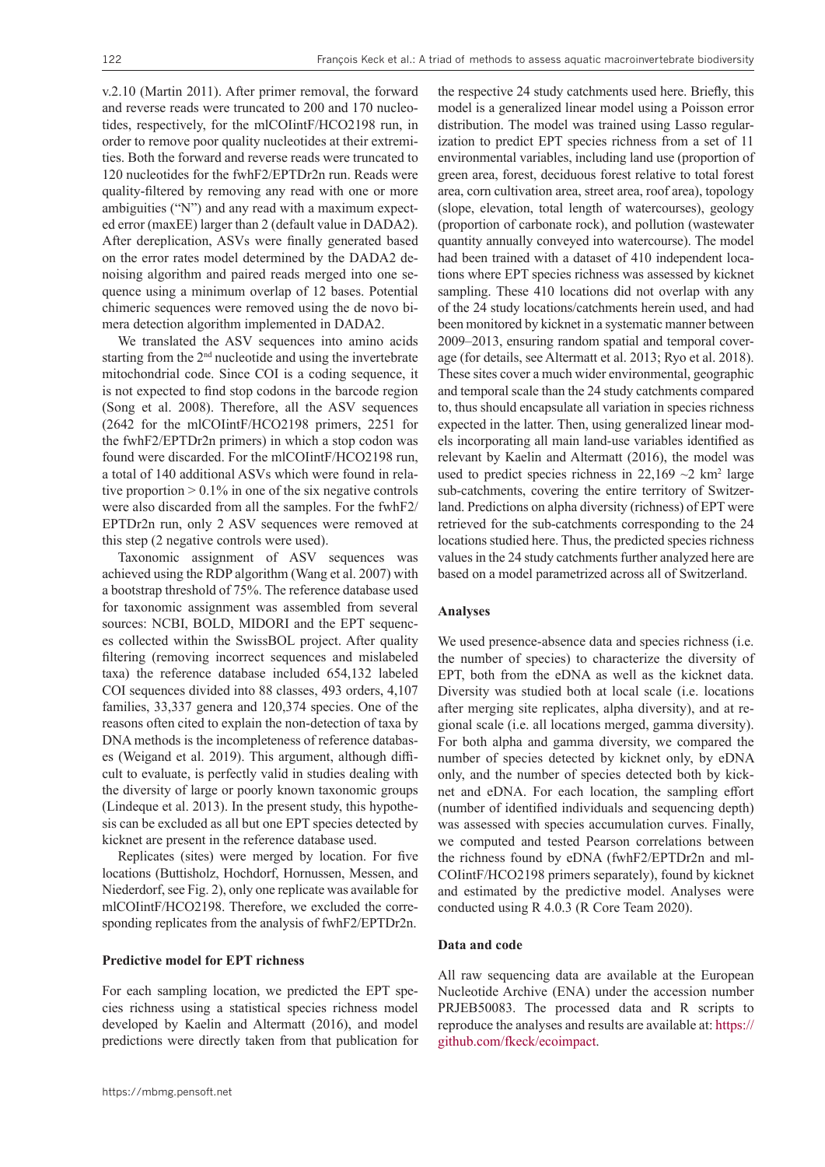v.2.10 (Martin 2011). After primer removal, the forward and reverse reads were truncated to 200 and 170 nucleotides, respectively, for the mlCOIintF/HCO2198 run, in order to remove poor quality nucleotides at their extremities. Both the forward and reverse reads were truncated to 120 nucleotides for the fwhF2/EPTDr2n run. Reads were quality-filtered by removing any read with one or more ambiguities ("N") and any read with a maximum expected error (maxEE) larger than 2 (default value in DADA2). After dereplication, ASVs were finally generated based on the error rates model determined by the DADA2 denoising algorithm and paired reads merged into one sequence using a minimum overlap of 12 bases. Potential chimeric sequences were removed using the de novo bimera detection algorithm implemented in DADA2.

We translated the ASV sequences into amino acids starting from the 2nd nucleotide and using the invertebrate mitochondrial code. Since COI is a coding sequence, it is not expected to find stop codons in the barcode region (Song et al. 2008). Therefore, all the ASV sequences (2642 for the mlCOIintF/HCO2198 primers, 2251 for the fwhF2/EPTDr2n primers) in which a stop codon was found were discarded. For the mlCOIintF/HCO2198 run, a total of 140 additional ASVs which were found in relative proportion  $> 0.1\%$  in one of the six negative controls were also discarded from all the samples. For the fwhF2/ EPTDr2n run, only 2 ASV sequences were removed at this step (2 negative controls were used).

Taxonomic assignment of ASV sequences was achieved using the RDP algorithm (Wang et al. 2007) with a bootstrap threshold of 75%. The reference database used for taxonomic assignment was assembled from several sources: NCBI, BOLD, MIDORI and the EPT sequences collected within the SwissBOL project. After quality filtering (removing incorrect sequences and mislabeled taxa) the reference database included 654,132 labeled COI sequences divided into 88 classes, 493 orders, 4,107 families, 33,337 genera and 120,374 species. One of the reasons often cited to explain the non-detection of taxa by DNA methods is the incompleteness of reference databases (Weigand et al. 2019). This argument, although difficult to evaluate, is perfectly valid in studies dealing with the diversity of large or poorly known taxonomic groups (Lindeque et al. 2013). In the present study, this hypothesis can be excluded as all but one EPT species detected by kicknet are present in the reference database used.

Replicates (sites) were merged by location. For five locations (Buttisholz, Hochdorf, Hornussen, Messen, and Niederdorf, see Fig. 2), only one replicate was available for mlCOIintF/HCO2198. Therefore, we excluded the corresponding replicates from the analysis of fwhF2/EPTDr2n.

#### **Predictive model for EPT richness**

For each sampling location, we predicted the EPT species richness using a statistical species richness model developed by Kaelin and Altermatt (2016), and model predictions were directly taken from that publication for

the respective 24 study catchments used here. Briefly, this model is a generalized linear model using a Poisson error distribution. The model was trained using Lasso regularization to predict EPT species richness from a set of 11 environmental variables, including land use (proportion of green area, forest, deciduous forest relative to total forest area, corn cultivation area, street area, roof area), topology (slope, elevation, total length of watercourses), geology (proportion of carbonate rock), and pollution (wastewater quantity annually conveyed into watercourse). The model had been trained with a dataset of 410 independent locations where EPT species richness was assessed by kicknet sampling. These 410 locations did not overlap with any of the 24 study locations/catchments herein used, and had been monitored by kicknet in a systematic manner between 2009–2013, ensuring random spatial and temporal coverage (for details, see Altermatt et al. 2013; Ryo et al. 2018). These sites cover a much wider environmental, geographic and temporal scale than the 24 study catchments compared to, thus should encapsulate all variation in species richness expected in the latter. Then, using generalized linear models incorporating all main land-use variables identified as relevant by Kaelin and Altermatt (2016), the model was used to predict species richness in  $22,169$  ~2 km<sup>2</sup> large sub-catchments, covering the entire territory of Switzerland. Predictions on alpha diversity (richness) of EPT were retrieved for the sub-catchments corresponding to the 24 locations studied here. Thus, the predicted species richness values in the 24 study catchments further analyzed here are based on a model parametrized across all of Switzerland.

#### **Analyses**

We used presence-absence data and species richness (i.e. the number of species) to characterize the diversity of EPT, both from the eDNA as well as the kicknet data. Diversity was studied both at local scale (i.e. locations after merging site replicates, alpha diversity), and at regional scale (i.e. all locations merged, gamma diversity). For both alpha and gamma diversity, we compared the number of species detected by kicknet only, by eDNA only, and the number of species detected both by kicknet and eDNA. For each location, the sampling effort (number of identified individuals and sequencing depth) was assessed with species accumulation curves. Finally, we computed and tested Pearson correlations between the richness found by eDNA (fwhF2/EPTDr2n and ml-COIintF/HCO2198 primers separately), found by kicknet and estimated by the predictive model. Analyses were conducted using R 4.0.3 (R Core Team 2020).

#### **Data and code**

All raw sequencing data are available at the European Nucleotide Archive (ENA) under the accession number PRJEB50083. The processed data and R scripts to reproduce the analyses and results are available at: [https://](https://github.com/fkeck/ecoimpact) [github.com/fkeck/ecoimpact](https://github.com/fkeck/ecoimpact).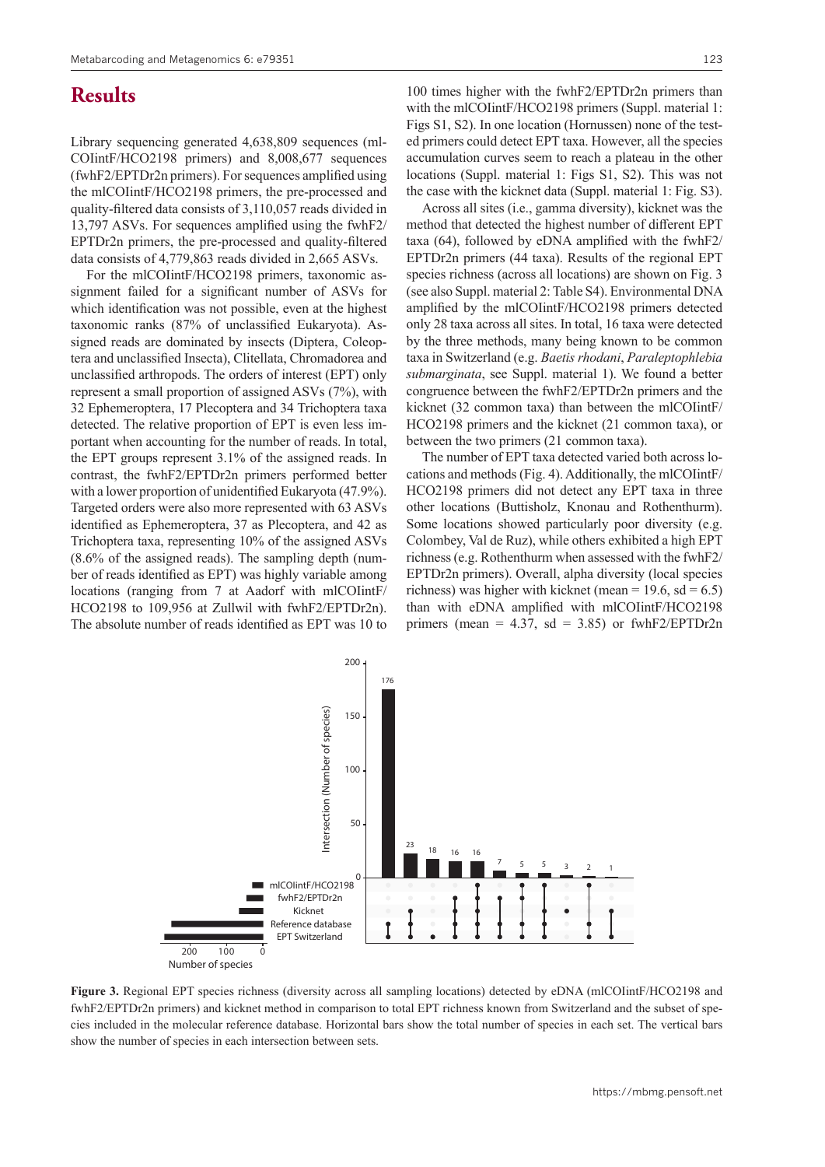# **Results**

Library sequencing generated 4,638,809 sequences (ml-COIintF/HCO2198 primers) and 8,008,677 sequences (fwhF2/EPTDr2n primers). For sequences amplified using the mlCOIintF/HCO2198 primers, the pre-processed and quality-filtered data consists of 3,110,057 reads divided in 13,797 ASVs. For sequences amplified using the fwhF2/ EPTDr2n primers, the pre-processed and quality-filtered data consists of 4,779,863 reads divided in 2,665 ASVs.

For the mlCOIintF/HCO2198 primers, taxonomic assignment failed for a significant number of ASVs for which identification was not possible, even at the highest taxonomic ranks (87% of unclassified Eukaryota). Assigned reads are dominated by insects (Diptera, Coleoptera and unclassified Insecta), Clitellata, Chromadorea and unclassified arthropods. The orders of interest (EPT) only represent a small proportion of assigned ASVs (7%), with 32 Ephemeroptera, 17 Plecoptera and 34 Trichoptera taxa detected. The relative proportion of EPT is even less important when accounting for the number of reads. In total, the EPT groups represent 3.1% of the assigned reads. In contrast, the fwhF2/EPTDr2n primers performed better with a lower proportion of unidentified Eukaryota (47.9%). Targeted orders were also more represented with 63 ASVs identified as Ephemeroptera, 37 as Plecoptera, and 42 as Trichoptera taxa, representing 10% of the assigned ASVs (8.6% of the assigned reads). The sampling depth (number of reads identified as EPT) was highly variable among locations (ranging from 7 at Aadorf with mlCOIintF/ HCO2198 to 109,956 at Zullwil with fwhF2/EPTDr2n). The absolute number of reads identified as EPT was 10 to

100 times higher with the fwhF2/EPTDr2n primers than with the mlCOIintF/HCO2198 primers (Suppl. material 1: Figs S1, S2). In one location (Hornussen) none of the tested primers could detect EPT taxa. However, all the species accumulation curves seem to reach a plateau in the other locations (Suppl. material 1: Figs S1, S2). This was not the case with the kicknet data (Suppl. material 1: Fig. S3).

Across all sites (i.e., gamma diversity), kicknet was the method that detected the highest number of different EPT taxa (64), followed by eDNA amplified with the fwhF2/ EPTDr2n primers (44 taxa). Results of the regional EPT species richness (across all locations) are shown on Fig. 3 (see also Suppl. material 2: Table S4). Environmental DNA amplified by the mlCOIintF/HCO2198 primers detected only 28 taxa across all sites. In total, 16 taxa were detected by the three methods, many being known to be common taxa in Switzerland (e.g. *Baetis rhodani*, *Paraleptophlebia submarginata*, see Suppl. material 1). We found a better congruence between the fwhF2/EPTDr2n primers and the kicknet (32 common taxa) than between the mlCOIintF/ HCO2198 primers and the kicknet (21 common taxa), or between the two primers (21 common taxa).

The number of EPT taxa detected varied both across locations and methods (Fig. 4). Additionally, the mlCOIintF/ HCO2198 primers did not detect any EPT taxa in three other locations (Buttisholz, Knonau and Rothenthurm). Some locations showed particularly poor diversity (e.g. Colombey, Val de Ruz), while others exhibited a high EPT richness (e.g. Rothenthurm when assessed with the fwhF2/ EPTDr2n primers). Overall, alpha diversity (local species richness) was higher with kicknet (mean = 19.6, sd = 6.5) than with eDNA amplified with mlCOIintF/HCO2198 primers (mean =  $4.37$ , sd =  $3.85$ ) or fwhF2/EPTDr2n



Figure 3. Regional EPT species richness (diversity across all sampling locations) detected by eDNA (mlCOIintF/HCO2198 and fwhF2/EPTDr2n primers) and kicknet method in comparison to total EPT richness known from Switzerland and the subset of species included in the molecular reference database. Horizontal bars show the total number of species in each set. The vertical bars show the number of species in each intersection between sets.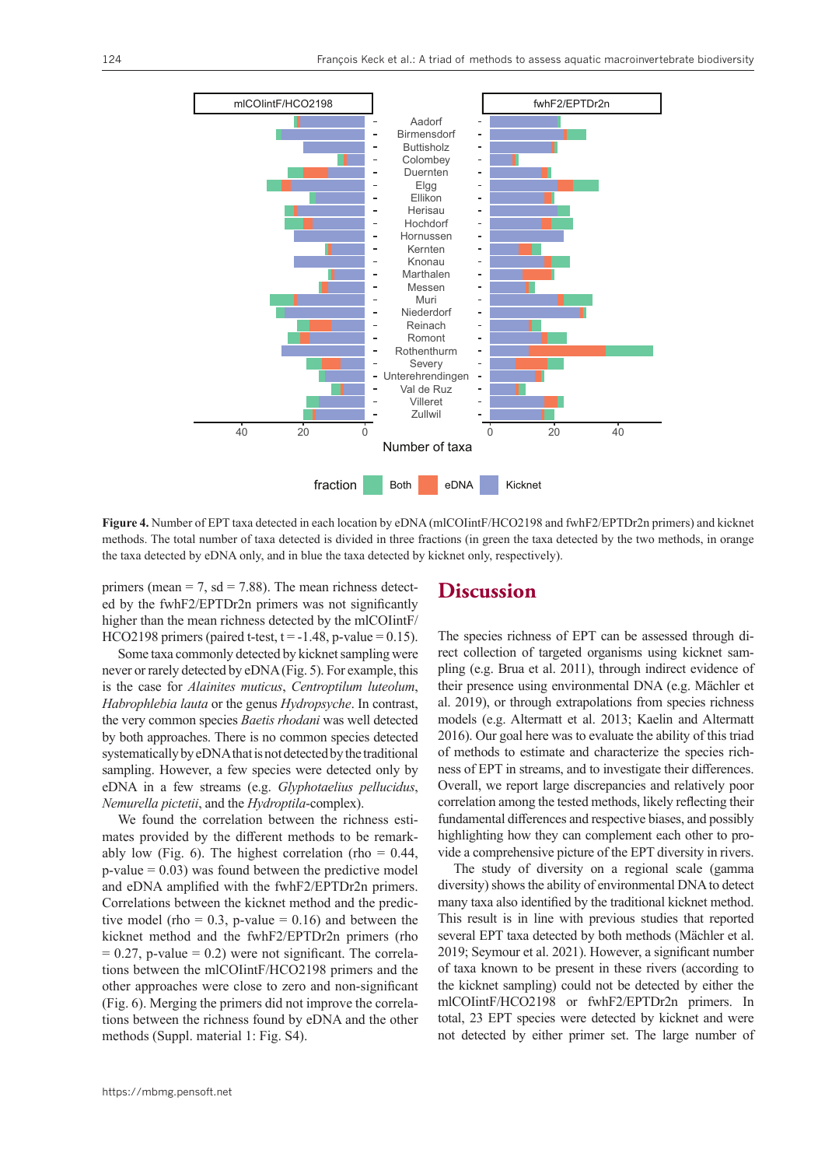

**Figure 4.** Number of EPT taxa detected in each location by eDNA (mlCOIintF/HCO2198 and fwhF2/EPTDr2n primers) and kicknet methods. The total number of taxa detected is divided in three fractions (in green the taxa detected by the two methods, in orange the taxa detected by eDNA only, and in blue the taxa detected by kicknet only, respectively).

primers (mean = 7,  $sd = 7.88$ ). The mean richness detected by the fwhF2/EPTDr2n primers was not significantly higher than the mean richness detected by the mlCOIintF/ HCO2198 primers (paired t-test,  $t = -1.48$ , p-value = 0.15).

Some taxa commonly detected by kicknet sampling were never or rarely detected by eDNA (Fig. 5). For example, this is the case for *Alainites muticus*, *Centroptilum luteolum*, *Habrophlebia lauta* or the genus *Hydropsyche*. In contrast, the very common species *Baetis rhodani* was well detected by both approaches. There is no common species detected systematically by eDNA that is not detected by the traditional sampling. However, a few species were detected only by eDNA in a few streams (e.g. *Glyphotaelius pellucidus*, *Nemurella pictetii*, and the *Hydroptila*-complex).

We found the correlation between the richness estimates provided by the different methods to be remarkably low (Fig. 6). The highest correlation (rho =  $0.44$ ,  $p$ -value = 0.03) was found between the predictive model and eDNA amplified with the fwhF2/EPTDr2n primers. Correlations between the kicknet method and the predictive model (rho =  $0.3$ , p-value =  $0.16$ ) and between the kicknet method and the fwhF2/EPTDr2n primers (rho  $= 0.27$ , p-value  $= 0.2$ ) were not significant. The correlations between the mlCOIintF/HCO2198 primers and the other approaches were close to zero and non-significant (Fig. 6). Merging the primers did not improve the correlations between the richness found by eDNA and the other methods (Suppl. material 1: Fig. S4).

### **Discussion**

The species richness of EPT can be assessed through direct collection of targeted organisms using kicknet sampling (e.g. Brua et al. 2011), through indirect evidence of their presence using environmental DNA (e.g. Mächler et al. 2019), or through extrapolations from species richness models (e.g. Altermatt et al. 2013; Kaelin and Altermatt 2016). Our goal here was to evaluate the ability of this triad of methods to estimate and characterize the species richness of EPT in streams, and to investigate their differences. Overall, we report large discrepancies and relatively poor correlation among the tested methods, likely reflecting their fundamental differences and respective biases, and possibly highlighting how they can complement each other to provide a comprehensive picture of the EPT diversity in rivers.

The study of diversity on a regional scale (gamma diversity) shows the ability of environmental DNA to detect many taxa also identified by the traditional kicknet method. This result is in line with previous studies that reported several EPT taxa detected by both methods (Mächler et al. 2019; Seymour et al. 2021). However, a significant number of taxa known to be present in these rivers (according to the kicknet sampling) could not be detected by either the mlCOIintF/HCO2198 or fwhF2/EPTDr2n primers. In total, 23 EPT species were detected by kicknet and were not detected by either primer set. The large number of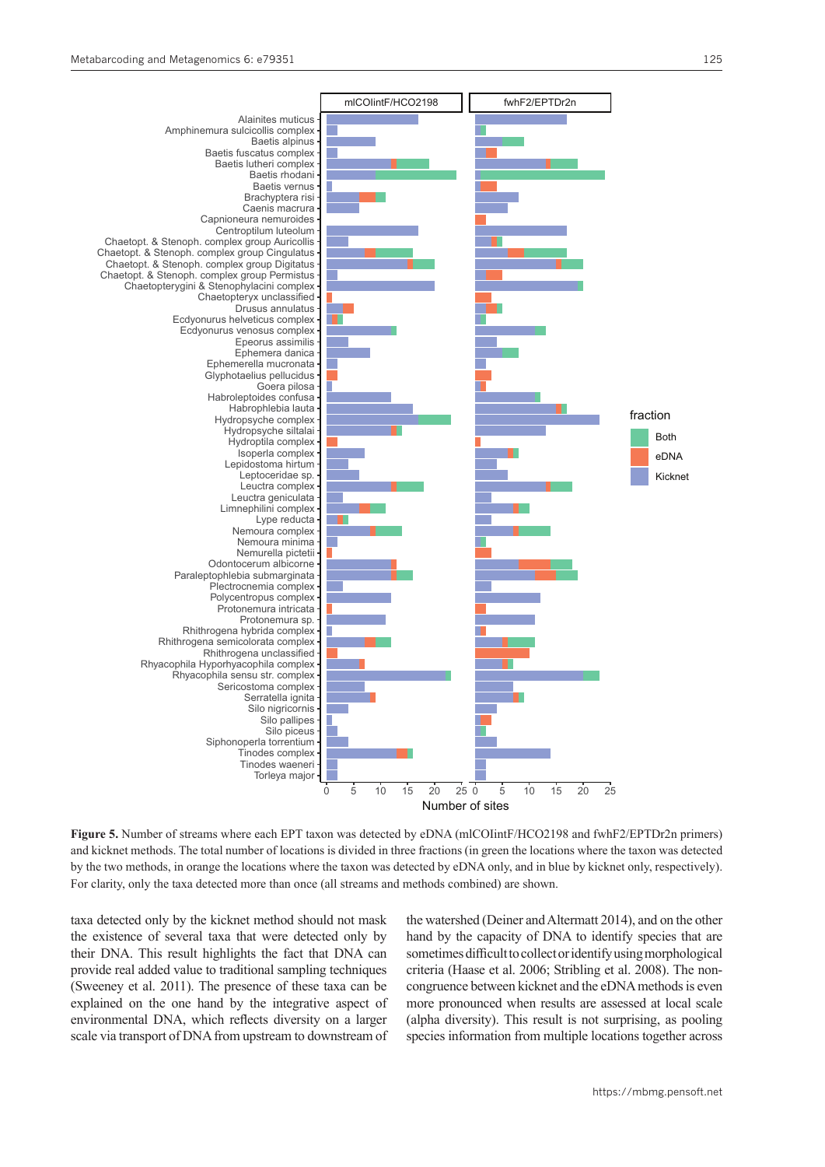

**Figure 5.** Number of streams where each EPT taxon was detected by eDNA (mlCOIintF/HCO2198 and fwhF2/EPTDr2n primers) and kicknet methods. The total number of locations is divided in three fractions (in green the locations where the taxon was detected by the two methods, in orange the locations where the taxon was detected by eDNA only, and in blue by kicknet only, respectively). For clarity, only the taxa detected more than once (all streams and methods combined) are shown.

taxa detected only by the kicknet method should not mask the existence of several taxa that were detected only by their DNA. This result highlights the fact that DNA can provide real added value to traditional sampling techniques (Sweeney et al. 2011). The presence of these taxa can be explained on the one hand by the integrative aspect of environmental DNA, which reflects diversity on a larger scale via transport of DNA from upstream to downstream of

the watershed (Deiner and Altermatt 2014), and on the other hand by the capacity of DNA to identify species that are sometimes difficult to collect or identify using morphological criteria (Haase et al. 2006; Stribling et al. 2008). The noncongruence between kicknet and the eDNA methods is even more pronounced when results are assessed at local scale (alpha diversity). This result is not surprising, as pooling species information from multiple locations together across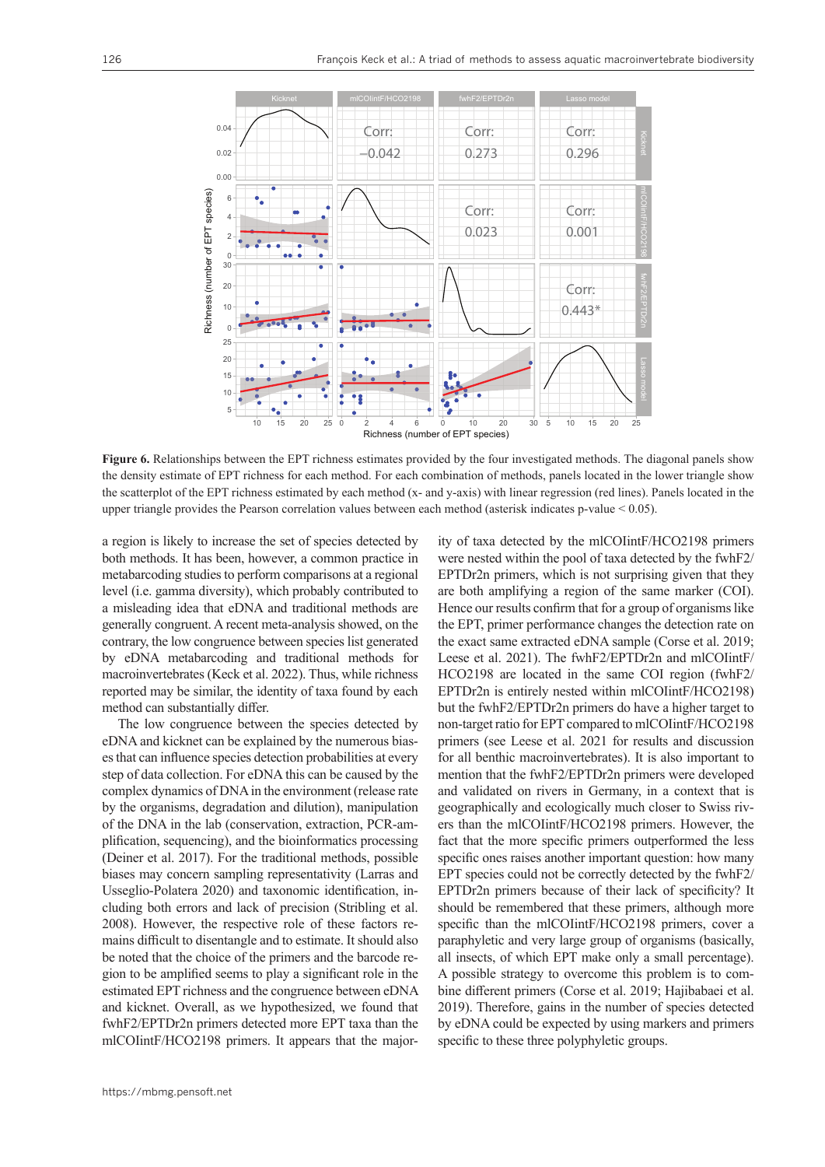

**Figure 6.** Relationships between the EPT richness estimates provided by the four investigated methods. The diagonal panels show the density estimate of EPT richness for each method. For each combination of methods, panels located in the lower triangle show the scatterplot of the EPT richness estimated by each method (x- and y-axis) with linear regression (red lines). Panels located in the upper triangle provides the Pearson correlation values between each method (asterisk indicates p-value < 0.05).

a region is likely to increase the set of species detected by both methods. It has been, however, a common practice in metabarcoding studies to perform comparisons at a regional level (i.e. gamma diversity), which probably contributed to a misleading idea that eDNA and traditional methods are generally congruent. A recent meta-analysis showed, on the contrary, the low congruence between species list generated by eDNA metabarcoding and traditional methods for macroinvertebrates (Keck et al. 2022). Thus, while richness reported may be similar, the identity of taxa found by each method can substantially differ.

The low congruence between the species detected by eDNA and kicknet can be explained by the numerous biases that can influence species detection probabilities at every step of data collection. For eDNA this can be caused by the complex dynamics of DNA in the environment (release rate by the organisms, degradation and dilution), manipulation of the DNA in the lab (conservation, extraction, PCR-amplification, sequencing), and the bioinformatics processing (Deiner et al. 2017). For the traditional methods, possible biases may concern sampling representativity (Larras and Usseglio-Polatera 2020) and taxonomic identification, including both errors and lack of precision (Stribling et al. 2008). However, the respective role of these factors remains difficult to disentangle and to estimate. It should also be noted that the choice of the primers and the barcode region to be amplified seems to play a significant role in the estimated EPT richness and the congruence between eDNA and kicknet. Overall, as we hypothesized, we found that fwhF2/EPTDr2n primers detected more EPT taxa than the mlCOIintF/HCO2198 primers. It appears that the majority of taxa detected by the mlCOIintF/HCO2198 primers were nested within the pool of taxa detected by the fwhF2/ EPTDr2n primers, which is not surprising given that they are both amplifying a region of the same marker (COI). Hence our results confirm that for a group of organisms like the EPT, primer performance changes the detection rate on the exact same extracted eDNA sample (Corse et al. 2019; Leese et al. 2021). The fwhF2/EPTDr2n and mlCOIintF/ HCO2198 are located in the same COI region (fwhF2/ EPTDr2n is entirely nested within mlCOIintF/HCO2198) but the fwhF2/EPTDr2n primers do have a higher target to non-target ratio for EPT compared to mlCOIintF/HCO2198 primers (see Leese et al. 2021 for results and discussion for all benthic macroinvertebrates). It is also important to mention that the fwhF2/EPTDr2n primers were developed and validated on rivers in Germany, in a context that is geographically and ecologically much closer to Swiss rivers than the mlCOIintF/HCO2198 primers. However, the fact that the more specific primers outperformed the less specific ones raises another important question: how many EPT species could not be correctly detected by the fwhF2/ EPTDr2n primers because of their lack of specificity? It should be remembered that these primers, although more specific than the mlCOIintF/HCO2198 primers, cover a paraphyletic and very large group of organisms (basically, all insects, of which EPT make only a small percentage). A possible strategy to overcome this problem is to combine different primers (Corse et al. 2019; Hajibabaei et al. 2019). Therefore, gains in the number of species detected by eDNA could be expected by using markers and primers specific to these three polyphyletic groups.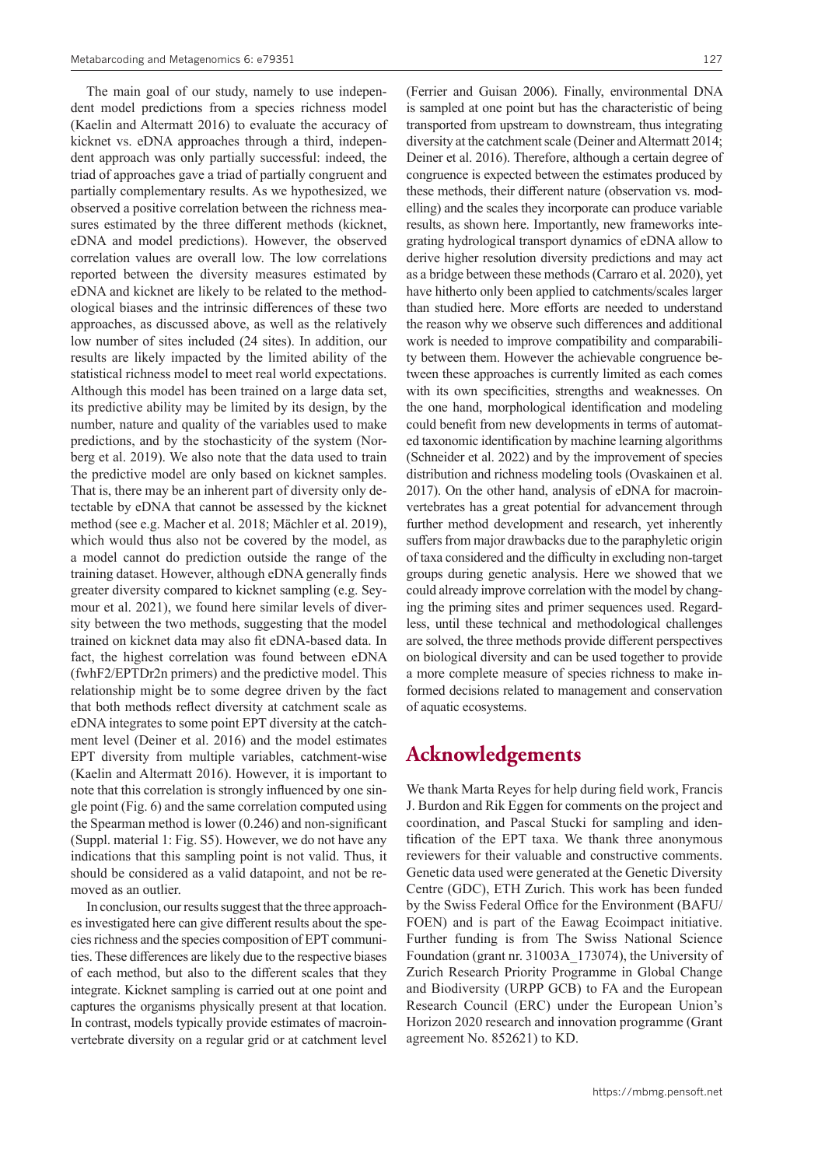The main goal of our study, namely to use independent model predictions from a species richness model (Kaelin and Altermatt 2016) to evaluate the accuracy of kicknet vs. eDNA approaches through a third, independent approach was only partially successful: indeed, the triad of approaches gave a triad of partially congruent and partially complementary results. As we hypothesized, we observed a positive correlation between the richness measures estimated by the three different methods (kicknet, eDNA and model predictions). However, the observed correlation values are overall low. The low correlations reported between the diversity measures estimated by eDNA and kicknet are likely to be related to the methodological biases and the intrinsic differences of these two approaches, as discussed above, as well as the relatively low number of sites included (24 sites). In addition, our results are likely impacted by the limited ability of the statistical richness model to meet real world expectations. Although this model has been trained on a large data set, its predictive ability may be limited by its design, by the number, nature and quality of the variables used to make predictions, and by the stochasticity of the system (Norberg et al. 2019). We also note that the data used to train the predictive model are only based on kicknet samples. That is, there may be an inherent part of diversity only detectable by eDNA that cannot be assessed by the kicknet method (see e.g. Macher et al. 2018; Mächler et al. 2019), which would thus also not be covered by the model, as a model cannot do prediction outside the range of the training dataset. However, although eDNA generally finds greater diversity compared to kicknet sampling (e.g. Seymour et al. 2021), we found here similar levels of diversity between the two methods, suggesting that the model trained on kicknet data may also fit eDNA-based data. In fact, the highest correlation was found between eDNA (fwhF2/EPTDr2n primers) and the predictive model. This relationship might be to some degree driven by the fact that both methods reflect diversity at catchment scale as eDNA integrates to some point EPT diversity at the catchment level (Deiner et al. 2016) and the model estimates EPT diversity from multiple variables, catchment-wise (Kaelin and Altermatt 2016). However, it is important to note that this correlation is strongly influenced by one single point (Fig. 6) and the same correlation computed using the Spearman method is lower (0.246) and non-significant (Suppl. material 1: Fig. S5). However, we do not have any indications that this sampling point is not valid. Thus, it should be considered as a valid datapoint, and not be removed as an outlier.

In conclusion, our results suggest that the three approaches investigated here can give different results about the species richness and the species composition of EPT communities. These differences are likely due to the respective biases of each method, but also to the different scales that they integrate. Kicknet sampling is carried out at one point and captures the organisms physically present at that location. In contrast, models typically provide estimates of macroinvertebrate diversity on a regular grid or at catchment level

(Ferrier and Guisan 2006). Finally, environmental DNA is sampled at one point but has the characteristic of being transported from upstream to downstream, thus integrating diversity at the catchment scale (Deiner and Altermatt 2014; Deiner et al. 2016). Therefore, although a certain degree of congruence is expected between the estimates produced by these methods, their different nature (observation vs. modelling) and the scales they incorporate can produce variable results, as shown here. Importantly, new frameworks integrating hydrological transport dynamics of eDNA allow to derive higher resolution diversity predictions and may act as a bridge between these methods (Carraro et al. 2020), yet have hitherto only been applied to catchments/scales larger than studied here. More efforts are needed to understand the reason why we observe such differences and additional work is needed to improve compatibility and comparability between them. However the achievable congruence between these approaches is currently limited as each comes with its own specificities, strengths and weaknesses. On the one hand, morphological identification and modeling could benefit from new developments in terms of automated taxonomic identification by machine learning algorithms (Schneider et al. 2022) and by the improvement of species distribution and richness modeling tools (Ovaskainen et al. 2017). On the other hand, analysis of eDNA for macroinvertebrates has a great potential for advancement through further method development and research, yet inherently suffers from major drawbacks due to the paraphyletic origin of taxa considered and the difficulty in excluding non-target groups during genetic analysis. Here we showed that we could already improve correlation with the model by changing the priming sites and primer sequences used. Regardless, until these technical and methodological challenges are solved, the three methods provide different perspectives on biological diversity and can be used together to provide a more complete measure of species richness to make informed decisions related to management and conservation of aquatic ecosystems.

### **Acknowledgements**

We thank Marta Reyes for help during field work, Francis J. Burdon and Rik Eggen for comments on the project and coordination, and Pascal Stucki for sampling and identification of the EPT taxa. We thank three anonymous reviewers for their valuable and constructive comments. Genetic data used were generated at the Genetic Diversity Centre (GDC), ETH Zurich. This work has been funded by the Swiss Federal Office for the Environment (BAFU/ FOEN) and is part of the Eawag Ecoimpact initiative. Further funding is from The Swiss National Science Foundation (grant nr. 31003A\_173074), the University of Zurich Research Priority Programme in Global Change and Biodiversity (URPP GCB) to FA and the European Research Council (ERC) under the European Union's Horizon 2020 research and innovation programme (Grant agreement No. 852621) to KD.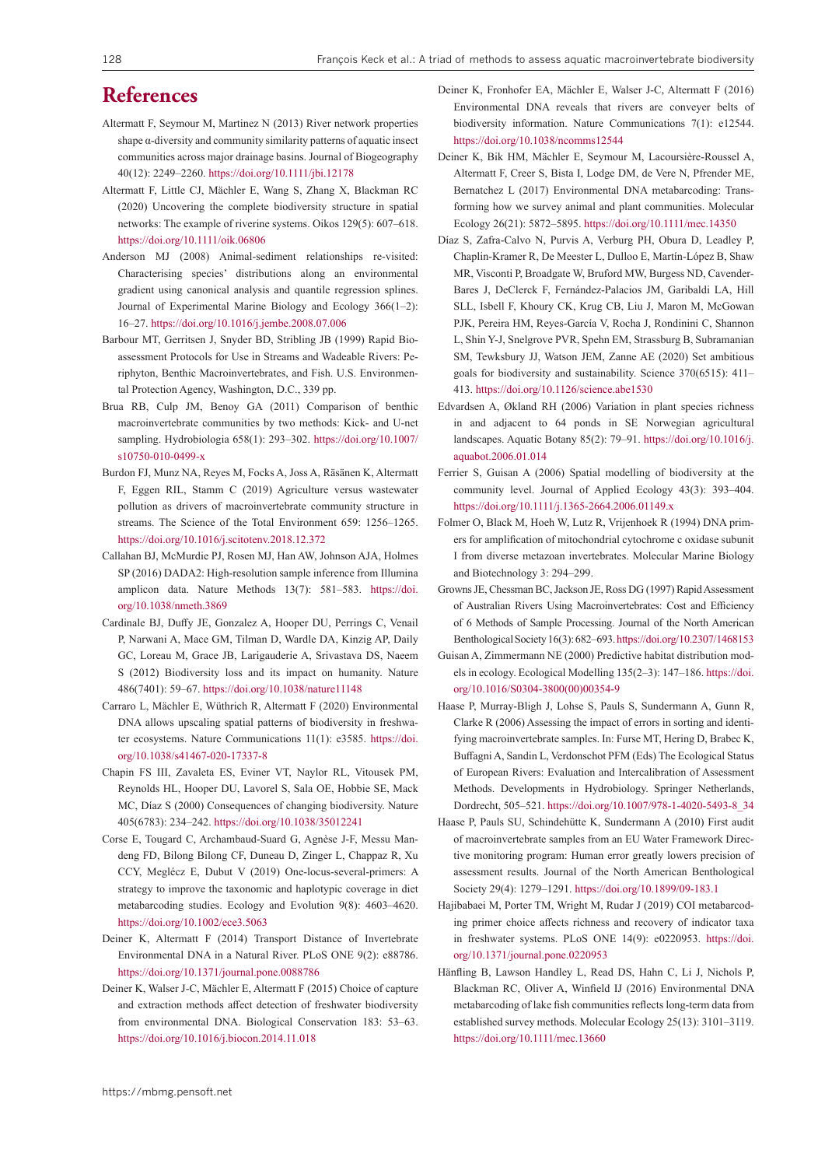# **References**

- Altermatt F, Seymour M, Martinez N (2013) River network properties shape  $\alpha$ -diversity and community similarity patterns of aquatic insect communities across major drainage basins. Journal of Biogeography 40(12): 2249–2260. <https://doi.org/10.1111/jbi.12178>
- Altermatt F, Little CJ, Mächler E, Wang S, Zhang X, Blackman RC (2020) Uncovering the complete biodiversity structure in spatial networks: The example of riverine systems. Oikos 129(5): 607–618. <https://doi.org/10.1111/oik.06806>
- Anderson MJ (2008) Animal-sediment relationships re-visited: Characterising species' distributions along an environmental gradient using canonical analysis and quantile regression splines. Journal of Experimental Marine Biology and Ecology 366(1–2): 16–27. <https://doi.org/10.1016/j.jembe.2008.07.006>
- Barbour MT, Gerritsen J, Snyder BD, Stribling JB (1999) Rapid Bioassessment Protocols for Use in Streams and Wadeable Rivers: Periphyton, Benthic Macroinvertebrates, and Fish. U.S. Environmental Protection Agency, Washington, D.C., 339 pp.
- Brua RB, Culp JM, Benoy GA (2011) Comparison of benthic macroinvertebrate communities by two methods: Kick- and U-net sampling. Hydrobiologia 658(1): 293–302. [https://doi.org/10.1007/](https://doi.org/10.1007/s10750-010-0499-x) [s10750-010-0499-x](https://doi.org/10.1007/s10750-010-0499-x)
- Burdon FJ, Munz NA, Reyes M, Focks A, Joss A, Räsänen K, Altermatt F, Eggen RIL, Stamm C (2019) Agriculture versus wastewater pollution as drivers of macroinvertebrate community structure in streams. The Science of the Total Environment 659: 1256–1265. <https://doi.org/10.1016/j.scitotenv.2018.12.372>
- Callahan BJ, McMurdie PJ, Rosen MJ, Han AW, Johnson AJA, Holmes SP (2016) DADA2: High-resolution sample inference from Illumina amplicon data. Nature Methods 13(7): 581–583. [https://doi.](https://doi.org/10.1038/nmeth.3869) [org/10.1038/nmeth.3869](https://doi.org/10.1038/nmeth.3869)
- Cardinale BJ, Duffy JE, Gonzalez A, Hooper DU, Perrings C, Venail P, Narwani A, Mace GM, Tilman D, Wardle DA, Kinzig AP, Daily GC, Loreau M, Grace JB, Larigauderie A, Srivastava DS, Naeem S (2012) Biodiversity loss and its impact on humanity. Nature 486(7401): 59–67. <https://doi.org/10.1038/nature11148>
- Carraro L, Mächler E, Wüthrich R, Altermatt F (2020) Environmental DNA allows upscaling spatial patterns of biodiversity in freshwater ecosystems. Nature Communications 11(1): e3585. [https://doi.](https://doi.org/10.1038/s41467-020-17337-8) [org/10.1038/s41467-020-17337-8](https://doi.org/10.1038/s41467-020-17337-8)
- Chapin FS III, Zavaleta ES, Eviner VT, Naylor RL, Vitousek PM, Reynolds HL, Hooper DU, Lavorel S, Sala OE, Hobbie SE, Mack MC, Díaz S (2000) Consequences of changing biodiversity. Nature 405(6783): 234–242. <https://doi.org/10.1038/35012241>
- Corse E, Tougard C, Archambaud-Suard G, Agnèse J-F, Messu Mandeng FD, Bilong Bilong CF, Duneau D, Zinger L, Chappaz R, Xu CCY, Meglécz E, Dubut V (2019) One-locus-several-primers: A strategy to improve the taxonomic and haplotypic coverage in diet metabarcoding studies. Ecology and Evolution 9(8): 4603–4620. <https://doi.org/10.1002/ece3.5063>
- Deiner K, Altermatt F (2014) Transport Distance of Invertebrate Environmental DNA in a Natural River. PLoS ONE 9(2): e88786. <https://doi.org/10.1371/journal.pone.0088786>
- Deiner K, Walser J-C, Mächler E, Altermatt F (2015) Choice of capture and extraction methods affect detection of freshwater biodiversity from environmental DNA. Biological Conservation 183: 53–63. <https://doi.org/10.1016/j.biocon.2014.11.018>
- Deiner K, Fronhofer EA, Mächler E, Walser J-C, Altermatt F (2016) Environmental DNA reveals that rivers are conveyer belts of biodiversity information. Nature Communications 7(1): e12544. <https://doi.org/10.1038/ncomms12544>
- Deiner K, Bik HM, Mächler E, Seymour M, Lacoursière‐Roussel A, Altermatt F, Creer S, Bista I, Lodge DM, de Vere N, Pfrender ME, Bernatchez L (2017) Environmental DNA metabarcoding: Transforming how we survey animal and plant communities. Molecular Ecology 26(21): 5872–5895. <https://doi.org/10.1111/mec.14350>
- Díaz S, Zafra-Calvo N, Purvis A, Verburg PH, Obura D, Leadley P, Chaplin-Kramer R, De Meester L, Dulloo E, Martín-López B, Shaw MR, Visconti P, Broadgate W, Bruford MW, Burgess ND, Cavender-Bares J, DeClerck F, Fernández-Palacios JM, Garibaldi LA, Hill SLL, Isbell F, Khoury CK, Krug CB, Liu J, Maron M, McGowan PJK, Pereira HM, Reyes-García V, Rocha J, Rondinini C, Shannon L, Shin Y-J, Snelgrove PVR, Spehn EM, Strassburg B, Subramanian SM, Tewksbury JJ, Watson JEM, Zanne AE (2020) Set ambitious goals for biodiversity and sustainability. Science 370(6515): 411– 413.<https://doi.org/10.1126/science.abe1530>
- Edvardsen A, Økland RH (2006) Variation in plant species richness in and adjacent to 64 ponds in SE Norwegian agricultural landscapes. Aquatic Botany 85(2): 79–91. [https://doi.org/10.1016/j.](https://doi.org/10.1016/j.aquabot.2006.01.014) [aquabot.2006.01.014](https://doi.org/10.1016/j.aquabot.2006.01.014)
- Ferrier S, Guisan A (2006) Spatial modelling of biodiversity at the community level. Journal of Applied Ecology 43(3): 393–404. <https://doi.org/10.1111/j.1365-2664.2006.01149.x>
- Folmer O, Black M, Hoeh W, Lutz R, Vrijenhoek R (1994) DNA primers for amplification of mitochondrial cytochrome c oxidase subunit I from diverse metazoan invertebrates. Molecular Marine Biology and Biotechnology 3: 294–299.
- Growns JE, Chessman BC, Jackson JE, Ross DG (1997) Rapid Assessment of Australian Rivers Using Macroinvertebrates: Cost and Efficiency of 6 Methods of Sample Processing. Journal of the North American Benthological Society 16(3): 682–693.<https://doi.org/10.2307/1468153>
- Guisan A, Zimmermann NE (2000) Predictive habitat distribution models in ecology. Ecological Modelling 135(2–3): 147–186. [https://doi.](https://doi.org/10.1016/S0304-3800(00)00354-9) [org/10.1016/S0304-3800\(00\)00354-9](https://doi.org/10.1016/S0304-3800(00)00354-9)
- Haase P, Murray-Bligh J, Lohse S, Pauls S, Sundermann A, Gunn R, Clarke R (2006) Assessing the impact of errors in sorting and identifying macroinvertebrate samples. In: Furse MT, Hering D, Brabec K, Buffagni A, Sandin L, Verdonschot PFM (Eds) The Ecological Status of European Rivers: Evaluation and Intercalibration of Assessment Methods. Developments in Hydrobiology. Springer Netherlands, Dordrecht, 505–521. [https://doi.org/10.1007/978-1-4020-5493-8\\_34](https://doi.org/10.1007/978-1-4020-5493-8_34)
- Haase P, Pauls SU, Schindehütte K, Sundermann A (2010) First audit of macroinvertebrate samples from an EU Water Framework Directive monitoring program: Human error greatly lowers precision of assessment results. Journal of the North American Benthological Society 29(4): 1279–1291. <https://doi.org/10.1899/09-183.1>
- Hajibabaei M, Porter TM, Wright M, Rudar J (2019) COI metabarcoding primer choice affects richness and recovery of indicator taxa in freshwater systems. PLoS ONE 14(9): e0220953. [https://doi.](https://doi.org/10.1371/journal.pone.0220953) [org/10.1371/journal.pone.0220953](https://doi.org/10.1371/journal.pone.0220953)
- Hänfling B, Lawson Handley L, Read DS, Hahn C, Li J, Nichols P, Blackman RC, Oliver A, Winfield IJ (2016) Environmental DNA metabarcoding of lake fish communities reflects long-term data from established survey methods. Molecular Ecology 25(13): 3101–3119. <https://doi.org/10.1111/mec.13660>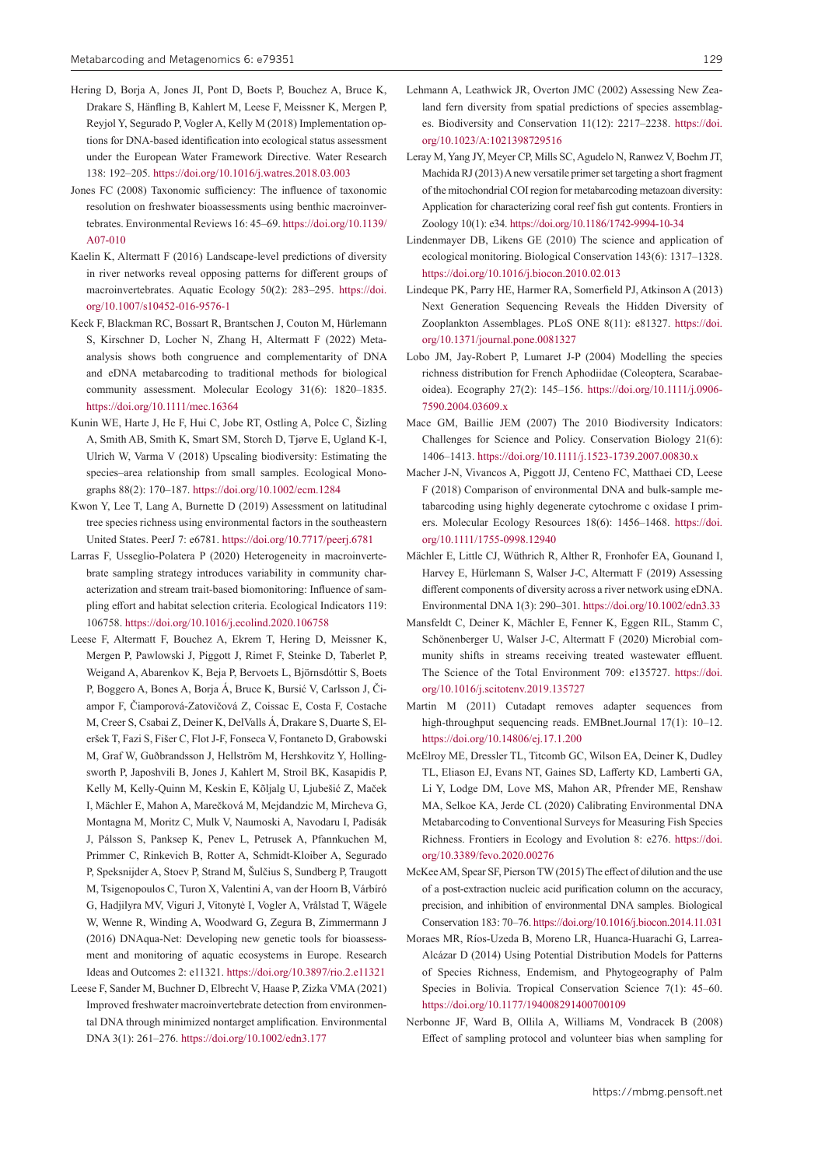- Hering D, Borja A, Jones JI, Pont D, Boets P, Bouchez A, Bruce K, Drakare S, Hänfling B, Kahlert M, Leese F, Meissner K, Mergen P, Reyjol Y, Segurado P, Vogler A, Kelly M (2018) Implementation options for DNA-based identification into ecological status assessment under the European Water Framework Directive. Water Research 138: 192–205. <https://doi.org/10.1016/j.watres.2018.03.003>
- Jones FC (2008) Taxonomic sufficiency: The influence of taxonomic resolution on freshwater bioassessments using benthic macroinvertebrates. Environmental Reviews 16: 45–69. [https://doi.org/10.1139/](https://doi.org/10.1139/A07-010) [A07-010](https://doi.org/10.1139/A07-010)
- Kaelin K, Altermatt F (2016) Landscape-level predictions of diversity in river networks reveal opposing patterns for different groups of macroinvertebrates. Aquatic Ecology 50(2): 283–295. [https://doi.](https://doi.org/10.1007/s10452-016-9576-1) [org/10.1007/s10452-016-9576-1](https://doi.org/10.1007/s10452-016-9576-1)
- Keck F, Blackman RC, Bossart R, Brantschen J, Couton M, Hürlemann S, Kirschner D, Locher N, Zhang H, Altermatt F (2022) Metaanalysis shows both congruence and complementarity of DNA and eDNA metabarcoding to traditional methods for biological community assessment. Molecular Ecology 31(6): 1820–1835. <https://doi.org/10.1111/mec.16364>
- Kunin WE, Harte J, He F, Hui C, Jobe RT, Ostling A, Polce C, Šizling A, Smith AB, Smith K, Smart SM, Storch D, Tjørve E, Ugland K-I, Ulrich W, Varma V (2018) Upscaling biodiversity: Estimating the species–area relationship from small samples. Ecological Monographs 88(2): 170–187.<https://doi.org/10.1002/ecm.1284>
- Kwon Y, Lee T, Lang A, Burnette D (2019) Assessment on latitudinal tree species richness using environmental factors in the southeastern United States. PeerJ 7: e6781.<https://doi.org/10.7717/peerj.6781>
- Larras F, Usseglio-Polatera P (2020) Heterogeneity in macroinvertebrate sampling strategy introduces variability in community characterization and stream trait-based biomonitoring: Influence of sampling effort and habitat selection criteria. Ecological Indicators 119: 106758.<https://doi.org/10.1016/j.ecolind.2020.106758>
- Leese F, Altermatt F, Bouchez A, Ekrem T, Hering D, Meissner K, Mergen P, Pawlowski J, Piggott J, Rimet F, Steinke D, Taberlet P, Weigand A, Abarenkov K, Beja P, Bervoets L, Björnsdóttir S, Boets P, Boggero A, Bones A, Borja Á, Bruce K, Bursić V, Carlsson J, Čiampor F, Čiamporová-Zatovičová Z, Coissac E, Costa F, Costache M, Creer S, Csabai Z, Deiner K, DelValls Á, Drakare S, Duarte S, Eleršek T, Fazi S, Fišer C, Flot J-F, Fonseca V, Fontaneto D, Grabowski M, Graf W, Guðbrandsson J, Hellström M, Hershkovitz Y, Hollingsworth P, Japoshvili B, Jones J, Kahlert M, Stroil BK, Kasapidis P, Kelly M, Kelly-Quinn M, Keskin E, Kõljalg U, Ljubešić Z, Maček I, Mächler E, Mahon A, Marečková M, Mejdandzic M, Mircheva G, Montagna M, Moritz C, Mulk V, Naumoski A, Navodaru I, Padisák J, Pálsson S, Panksep K, Penev L, Petrusek A, Pfannkuchen M, Primmer C, Rinkevich B, Rotter A, Schmidt-Kloiber A, Segurado P, Speksnijder A, Stoev P, Strand M, Šulčius S, Sundberg P, Traugott M, Tsigenopoulos C, Turon X, Valentini A, van der Hoorn B, Várbíró G, Hadjilyra MV, Viguri J, Vitonytė I, Vogler A, Vrålstad T, Wägele W, Wenne R, Winding A, Woodward G, Zegura B, Zimmermann J (2016) DNAqua-Net: Developing new genetic tools for bioassessment and monitoring of aquatic ecosystems in Europe. Research Ideas and Outcomes 2: e11321. <https://doi.org/10.3897/rio.2.e11321>
- Leese F, Sander M, Buchner D, Elbrecht V, Haase P, Zizka VMA (2021) Improved freshwater macroinvertebrate detection from environmental DNA through minimized nontarget amplification. Environmental DNA 3(1): 261–276. <https://doi.org/10.1002/edn3.177>
- Lehmann A, Leathwick JR, Overton JMC (2002) Assessing New Zealand fern diversity from spatial predictions of species assemblages. Biodiversity and Conservation 11(12): 2217–2238. [https://doi.](https://doi.org/10.1023/A:1021398729516) [org/10.1023/A:1021398729516](https://doi.org/10.1023/A:1021398729516)
- Leray M, Yang JY, Meyer CP, Mills SC, Agudelo N, Ranwez V, Boehm JT, Machida RJ (2013) A new versatile primer set targeting a short fragment of the mitochondrial COI region for metabarcoding metazoan diversity: Application for characterizing coral reef fish gut contents. Frontiers in Zoology 10(1): e34.<https://doi.org/10.1186/1742-9994-10-34>
- Lindenmayer DB, Likens GE (2010) The science and application of ecological monitoring. Biological Conservation 143(6): 1317–1328. <https://doi.org/10.1016/j.biocon.2010.02.013>
- Lindeque PK, Parry HE, Harmer RA, Somerfield PJ, Atkinson A (2013) Next Generation Sequencing Reveals the Hidden Diversity of Zooplankton Assemblages. PLoS ONE 8(11): e81327. [https://doi.](https://doi.org/10.1371/journal.pone.0081327) [org/10.1371/journal.pone.0081327](https://doi.org/10.1371/journal.pone.0081327)
- Lobo JM, Jay-Robert P, Lumaret J-P (2004) Modelling the species richness distribution for French Aphodiidae (Coleoptera, Scarabaeoidea). Ecography 27(2): 145–156. [https://doi.org/10.1111/j.0906-](https://doi.org/10.1111/j.0906-7590.2004.03609.x) [7590.2004.03609.x](https://doi.org/10.1111/j.0906-7590.2004.03609.x)
- Mace GM, Baillie JEM (2007) The 2010 Biodiversity Indicators: Challenges for Science and Policy. Conservation Biology 21(6): 1406–1413. <https://doi.org/10.1111/j.1523-1739.2007.00830.x>
- Macher J-N, Vivancos A, Piggott JJ, Centeno FC, Matthaei CD, Leese F (2018) Comparison of environmental DNA and bulk-sample metabarcoding using highly degenerate cytochrome c oxidase I primers. Molecular Ecology Resources 18(6): 1456–1468. [https://doi.](https://doi.org/10.1111/1755-0998.12940) [org/10.1111/1755-0998.12940](https://doi.org/10.1111/1755-0998.12940)
- Mächler E, Little CJ, Wüthrich R, Alther R, Fronhofer EA, Gounand I, Harvey E, Hürlemann S, Walser J-C, Altermatt F (2019) Assessing different components of diversity across a river network using eDNA. Environmental DNA 1(3): 290–301. <https://doi.org/10.1002/edn3.33>
- Mansfeldt C, Deiner K, Mächler E, Fenner K, Eggen RIL, Stamm C, Schönenberger U, Walser J-C, Altermatt F (2020) Microbial community shifts in streams receiving treated wastewater effluent. The Science of the Total Environment 709: e135727. [https://doi.](https://doi.org/10.1016/j.scitotenv.2019.135727) [org/10.1016/j.scitotenv.2019.135727](https://doi.org/10.1016/j.scitotenv.2019.135727)
- Martin M (2011) Cutadapt removes adapter sequences from high-throughput sequencing reads. EMBnet.Journal 17(1): 10–12. <https://doi.org/10.14806/ej.17.1.200>
- McElroy ME, Dressler TL, Titcomb GC, Wilson EA, Deiner K, Dudley TL, Eliason EJ, Evans NT, Gaines SD, Lafferty KD, Lamberti GA, Li Y, Lodge DM, Love MS, Mahon AR, Pfrender ME, Renshaw MA, Selkoe KA, Jerde CL (2020) Calibrating Environmental DNA Metabarcoding to Conventional Surveys for Measuring Fish Species Richness. Frontiers in Ecology and Evolution 8: e276. [https://doi.](https://doi.org/10.3389/fevo.2020.00276) [org/10.3389/fevo.2020.00276](https://doi.org/10.3389/fevo.2020.00276)
- McKee AM, Spear SF, Pierson TW (2015) The effect of dilution and the use of a post-extraction nucleic acid purification column on the accuracy, precision, and inhibition of environmental DNA samples. Biological Conservation 183: 70–76.<https://doi.org/10.1016/j.biocon.2014.11.031>
- Moraes MR, Ríos-Uzeda B, Moreno LR, Huanca-Huarachi G, Larrea-Alcázar D (2014) Using Potential Distribution Models for Patterns of Species Richness, Endemism, and Phytogeography of Palm Species in Bolivia. Tropical Conservation Science 7(1): 45-60. <https://doi.org/10.1177/194008291400700109>
- Nerbonne JF, Ward B, Ollila A, Williams M, Vondracek B (2008) Effect of sampling protocol and volunteer bias when sampling for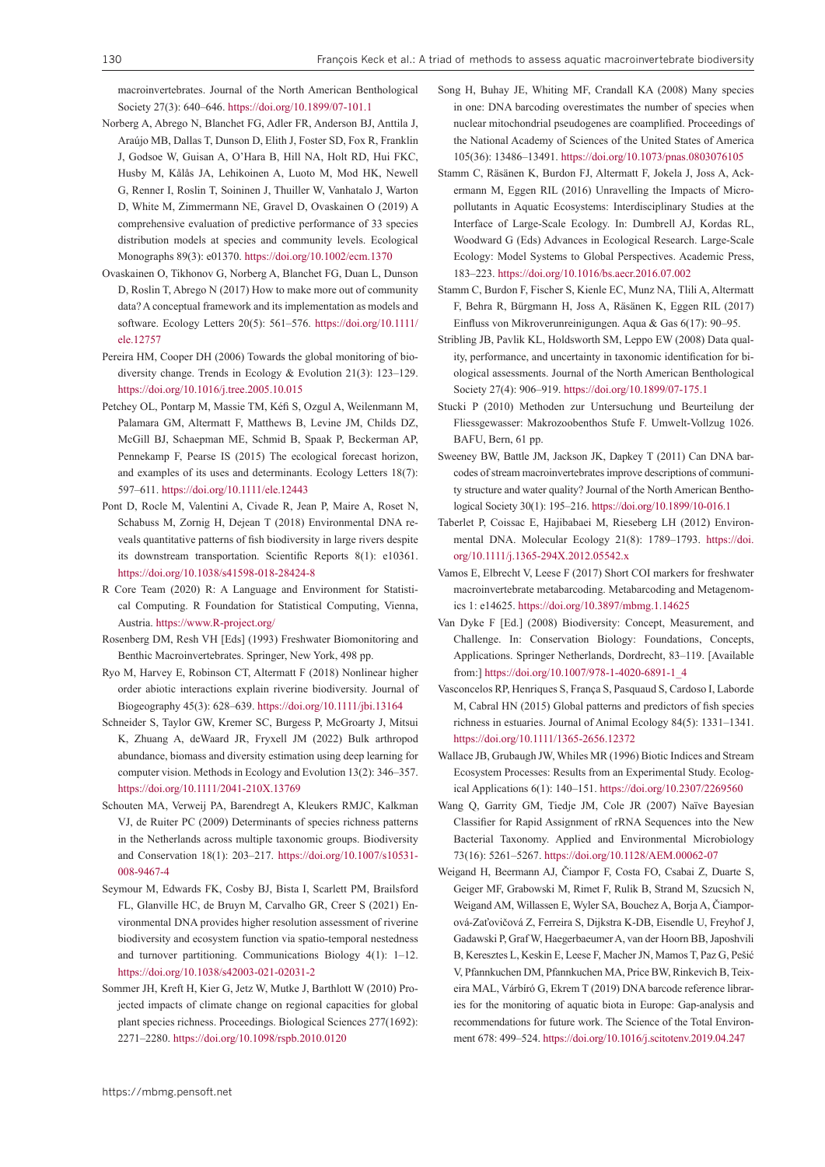macroinvertebrates. Journal of the North American Benthological Society 27(3): 640–646. <https://doi.org/10.1899/07-101.1>

- Norberg A, Abrego N, Blanchet FG, Adler FR, Anderson BJ, Anttila J, Araújo MB, Dallas T, Dunson D, Elith J, Foster SD, Fox R, Franklin J, Godsoe W, Guisan A, O'Hara B, Hill NA, Holt RD, Hui FKC, Husby M, Kålås JA, Lehikoinen A, Luoto M, Mod HK, Newell G, Renner I, Roslin T, Soininen J, Thuiller W, Vanhatalo J, Warton D, White M, Zimmermann NE, Gravel D, Ovaskainen O (2019) A comprehensive evaluation of predictive performance of 33 species distribution models at species and community levels. Ecological Monographs 89(3): e01370. <https://doi.org/10.1002/ecm.1370>
- Ovaskainen O, Tikhonov G, Norberg A, Blanchet FG, Duan L, Dunson D, Roslin T, Abrego N (2017) How to make more out of community data? A conceptual framework and its implementation as models and software. Ecology Letters 20(5): 561–576. [https://doi.org/10.1111/](https://doi.org/10.1111/ele.12757) [ele.12757](https://doi.org/10.1111/ele.12757)
- Pereira HM, Cooper DH (2006) Towards the global monitoring of biodiversity change. Trends in Ecology & Evolution 21(3): 123–129. <https://doi.org/10.1016/j.tree.2005.10.015>
- Petchey OL, Pontarp M, Massie TM, Kéfi S, Ozgul A, Weilenmann M, Palamara GM, Altermatt F, Matthews B, Levine JM, Childs DZ, McGill BJ, Schaepman ME, Schmid B, Spaak P, Beckerman AP, Pennekamp F, Pearse IS (2015) The ecological forecast horizon, and examples of its uses and determinants. Ecology Letters 18(7): 597–611. <https://doi.org/10.1111/ele.12443>
- Pont D, Rocle M, Valentini A, Civade R, Jean P, Maire A, Roset N, Schabuss M, Zornig H, Dejean T (2018) Environmental DNA reveals quantitative patterns of fish biodiversity in large rivers despite its downstream transportation. Scientific Reports 8(1): e10361. <https://doi.org/10.1038/s41598-018-28424-8>
- R Core Team (2020) R: A Language and Environment for Statistical Computing. R Foundation for Statistical Computing, Vienna, Austria. <https://www.R-project.org/>
- Rosenberg DM, Resh VH [Eds] (1993) Freshwater Biomonitoring and Benthic Macroinvertebrates. Springer, New York, 498 pp.
- Ryo M, Harvey E, Robinson CT, Altermatt F (2018) Nonlinear higher order abiotic interactions explain riverine biodiversity. Journal of Biogeography 45(3): 628–639. <https://doi.org/10.1111/jbi.13164>
- Schneider S, Taylor GW, Kremer SC, Burgess P, McGroarty J, Mitsui K, Zhuang A, deWaard JR, Fryxell JM (2022) Bulk arthropod abundance, biomass and diversity estimation using deep learning for computer vision. Methods in Ecology and Evolution 13(2): 346–357. <https://doi.org/10.1111/2041-210X.13769>
- Schouten MA, Verweij PA, Barendregt A, Kleukers RMJC, Kalkman VJ, de Ruiter PC (2009) Determinants of species richness patterns in the Netherlands across multiple taxonomic groups. Biodiversity and Conservation 18(1): 203–217. [https://doi.org/10.1007/s10531-](https://doi.org/10.1007/s10531-008-9467-4) [008-9467-4](https://doi.org/10.1007/s10531-008-9467-4)
- Seymour M, Edwards FK, Cosby BJ, Bista I, Scarlett PM, Brailsford FL, Glanville HC, de Bruyn M, Carvalho GR, Creer S (2021) Environmental DNA provides higher resolution assessment of riverine biodiversity and ecosystem function via spatio-temporal nestedness and turnover partitioning. Communications Biology 4(1): 1–12. <https://doi.org/10.1038/s42003-021-02031-2>
- Sommer JH, Kreft H, Kier G, Jetz W, Mutke J, Barthlott W (2010) Projected impacts of climate change on regional capacities for global plant species richness. Proceedings. Biological Sciences 277(1692): 2271–2280.<https://doi.org/10.1098/rspb.2010.0120>
- Song H, Buhay JE, Whiting MF, Crandall KA (2008) Many species in one: DNA barcoding overestimates the number of species when nuclear mitochondrial pseudogenes are coamplified. Proceedings of the National Academy of Sciences of the United States of America 105(36): 13486–13491. <https://doi.org/10.1073/pnas.0803076105>
- Stamm C, Räsänen K, Burdon FJ, Altermatt F, Jokela J, Joss A, Ackermann M, Eggen RIL (2016) Unravelling the Impacts of Micropollutants in Aquatic Ecosystems: Interdisciplinary Studies at the Interface of Large-Scale Ecology. In: Dumbrell AJ, Kordas RL, Woodward G (Eds) Advances in Ecological Research. Large-Scale Ecology: Model Systems to Global Perspectives. Academic Press, 183–223.<https://doi.org/10.1016/bs.aecr.2016.07.002>
- Stamm C, Burdon F, Fischer S, Kienle EC, Munz NA, Tlili A, Altermatt F, Behra R, Bürgmann H, Joss A, Räsänen K, Eggen RIL (2017) Einfluss von Mikroverunreinigungen. Aqua & Gas 6(17): 90–95.
- Stribling JB, Pavlik KL, Holdsworth SM, Leppo EW (2008) Data quality, performance, and uncertainty in taxonomic identification for biological assessments. Journal of the North American Benthological Society 27(4): 906–919. <https://doi.org/10.1899/07-175.1>
- Stucki P (2010) Methoden zur Untersuchung und Beurteilung der Fliessgewasser: Makrozoobenthos Stufe F. Umwelt-Vollzug 1026. BAFU, Bern, 61 pp.
- Sweeney BW, Battle JM, Jackson JK, Dapkey T (2011) Can DNA barcodes of stream macroinvertebrates improve descriptions of community structure and water quality? Journal of the North American Benthological Society 30(1): 195–216.<https://doi.org/10.1899/10-016.1>
- Taberlet P, Coissac E, Hajibabaei M, Rieseberg LH (2012) Environmental DNA. Molecular Ecology 21(8): 1789–1793. [https://doi.](https://doi.org/10.1111/j.1365-294X.2012.05542.x) [org/10.1111/j.1365-294X.2012.05542.x](https://doi.org/10.1111/j.1365-294X.2012.05542.x)
- Vamos E, Elbrecht V, Leese F (2017) Short COI markers for freshwater macroinvertebrate metabarcoding. Metabarcoding and Metagenomics 1: e14625.<https://doi.org/10.3897/mbmg.1.14625>
- Van Dyke F [Ed.] (2008) Biodiversity: Concept, Measurement, and Challenge. In: Conservation Biology: Foundations, Concepts, Applications. Springer Netherlands, Dordrecht, 83–119. [Available from:] [https://doi.org/10.1007/978-1-4020-6891-1\\_4](https://doi.org/10.1007/978-1-4020-6891-1_4)
- Vasconcelos RP, Henriques S, França S, Pasquaud S, Cardoso I, Laborde M, Cabral HN (2015) Global patterns and predictors of fish species richness in estuaries. Journal of Animal Ecology 84(5): 1331–1341. <https://doi.org/10.1111/1365-2656.12372>
- Wallace JB, Grubaugh JW, Whiles MR (1996) Biotic Indices and Stream Ecosystem Processes: Results from an Experimental Study. Ecological Applications 6(1): 140–151. <https://doi.org/10.2307/2269560>
- Wang Q, Garrity GM, Tiedje JM, Cole JR (2007) Naïve Bayesian Classifier for Rapid Assignment of rRNA Sequences into the New Bacterial Taxonomy. Applied and Environmental Microbiology 73(16): 5261–5267. <https://doi.org/10.1128/AEM.00062-07>
- Weigand H, Beermann AJ, Čiampor F, Costa FO, Csabai Z, Duarte S, Geiger MF, Grabowski M, Rimet F, Rulik B, Strand M, Szucsich N, Weigand AM, Willassen E, Wyler SA, Bouchez A, Borja A, Čiamporová-Zaťovičová Z, Ferreira S, Dijkstra K-DB, Eisendle U, Freyhof J, Gadawski P, Graf W, Haegerbaeumer A, van der Hoorn BB, Japoshvili B, Keresztes L, Keskin E, Leese F, Macher JN, Mamos T, Paz G, Pešić V, Pfannkuchen DM, Pfannkuchen MA, Price BW, Rinkevich B, Teixeira MAL, Várbíró G, Ekrem T (2019) DNA barcode reference libraries for the monitoring of aquatic biota in Europe: Gap-analysis and recommendations for future work. The Science of the Total Environment 678: 499–524.<https://doi.org/10.1016/j.scitotenv.2019.04.247>